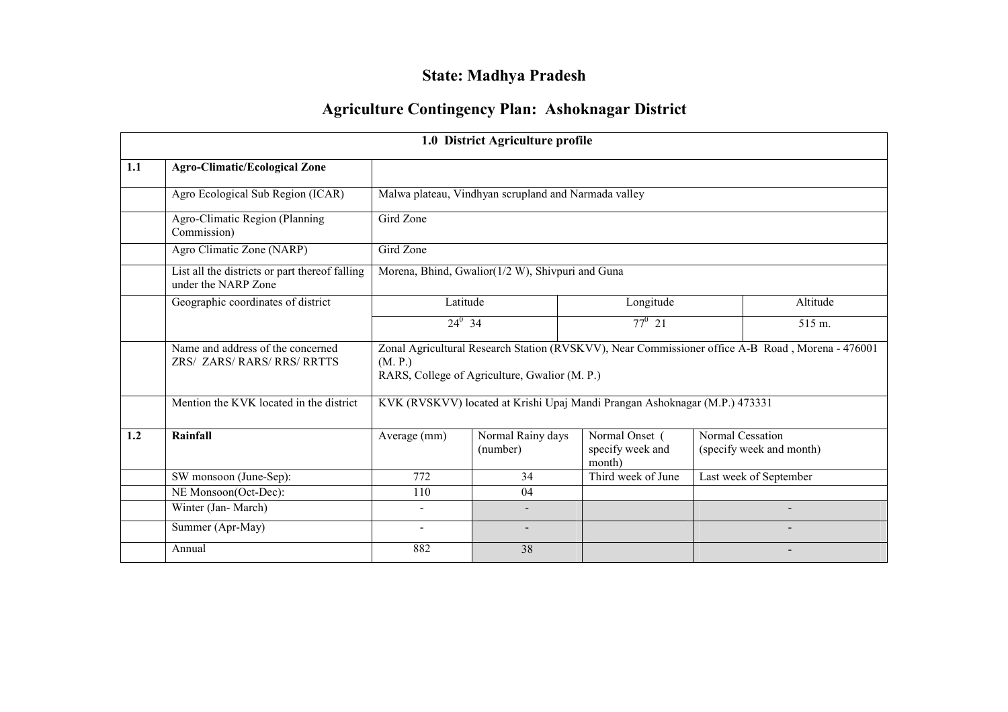# State: Madhya Pradesh

# Agriculture Contingency Plan: Ashoknagar District

|     |                                                                       |                                                                                                                                                              | 1.0 District Agriculture profile                     |                                                                            |                  |                          |  |  |  |
|-----|-----------------------------------------------------------------------|--------------------------------------------------------------------------------------------------------------------------------------------------------------|------------------------------------------------------|----------------------------------------------------------------------------|------------------|--------------------------|--|--|--|
| 1.1 | <b>Agro-Climatic/Ecological Zone</b>                                  |                                                                                                                                                              |                                                      |                                                                            |                  |                          |  |  |  |
|     | Agro Ecological Sub Region (ICAR)                                     |                                                                                                                                                              | Malwa plateau, Vindhyan scrupland and Narmada valley |                                                                            |                  |                          |  |  |  |
|     | Agro-Climatic Region (Planning<br>Commission)                         | Gird Zone                                                                                                                                                    |                                                      |                                                                            |                  |                          |  |  |  |
|     | Agro Climatic Zone (NARP)                                             | Gird Zone                                                                                                                                                    |                                                      |                                                                            |                  |                          |  |  |  |
|     | List all the districts or part thereof falling<br>under the NARP Zone | Morena, Bhind, Gwalior(1/2 W), Shivpuri and Guna                                                                                                             |                                                      |                                                                            |                  |                          |  |  |  |
|     | Geographic coordinates of district                                    | Latitude                                                                                                                                                     |                                                      | Longitude                                                                  |                  | Altitude                 |  |  |  |
|     |                                                                       | $24^0$ 34                                                                                                                                                    |                                                      | $77^0$ 21                                                                  |                  | 515 m.                   |  |  |  |
|     | Name and address of the concerned<br><b>ZRS/ ZARS/RARS/RRS/RRTTS</b>  | Zonal Agricultural Research Station (RVSKVV), Near Commissioner office A-B Road, Morena - 476001<br>(M. P.)<br>RARS, College of Agriculture, Gwalior (M. P.) |                                                      |                                                                            |                  |                          |  |  |  |
|     | Mention the KVK located in the district                               |                                                                                                                                                              |                                                      | KVK (RVSKVV) located at Krishi Upaj Mandi Prangan Ashoknagar (M.P.) 473331 |                  |                          |  |  |  |
| 1.2 | Rainfall                                                              | Average (mm)                                                                                                                                                 | Normal Rainy days<br>(number)                        | Normal Onset (<br>specify week and<br>month)                               | Normal Cessation | (specify week and month) |  |  |  |
|     | SW monsoon (June-Sep):                                                | 772                                                                                                                                                          | 34                                                   | Third week of June                                                         |                  | Last week of September   |  |  |  |
|     | NE Monsoon(Oct-Dec):                                                  | 110                                                                                                                                                          | 04                                                   |                                                                            |                  |                          |  |  |  |
|     | Winter (Jan-March)                                                    |                                                                                                                                                              |                                                      |                                                                            |                  |                          |  |  |  |
|     | Summer (Apr-May)                                                      |                                                                                                                                                              |                                                      |                                                                            |                  |                          |  |  |  |
|     | Annual                                                                | 882                                                                                                                                                          | 38                                                   |                                                                            |                  |                          |  |  |  |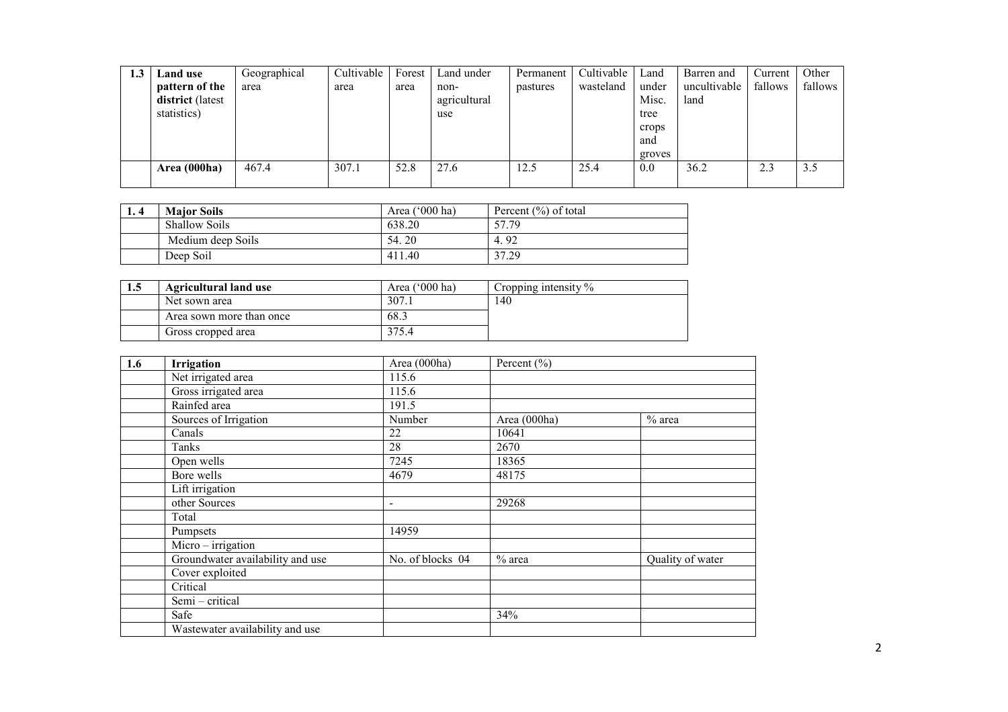| 1.3 | Land use         | Geographical | Cultivable | Forest | Land under   | Permanent | Cultivable | Land   | Barren and   | Current | Other   |
|-----|------------------|--------------|------------|--------|--------------|-----------|------------|--------|--------------|---------|---------|
|     | pattern of the   | area         | area       | area   | non-         | pastures  | wasteland  | under  | uncultivable | fallows | fallows |
|     | district (latest |              |            |        | agricultural |           |            | Misc.  | land         |         |         |
|     | statistics)      |              |            |        | use          |           |            | tree   |              |         |         |
|     |                  |              |            |        |              |           |            | crops  |              |         |         |
|     |                  |              |            |        |              |           |            | and    |              |         |         |
|     |                  |              |            |        |              |           |            | groves |              |         |         |
|     | Area (000ha)     | 467.4        | 307.1      | 52.8   | 27.6         | 12.5      | 25.4       | 0.0    | 36.2         | 2.3     | 3.5     |
|     |                  |              |            |        |              |           |            |        |              |         |         |

| 1.4 | <b>Maior Soils</b>   | Area $(^{\circ}000$ ha) | Percent $(\% )$ of total |  |
|-----|----------------------|-------------------------|--------------------------|--|
|     | <b>Shallow Soils</b> | 638.20                  | 57.79                    |  |
|     | Medium deep Soils    | 54.20                   | 4.92                     |  |
|     | Deep Soil            | 411.40                  | 37.29                    |  |

| 1.5 | <b>Agricultural land use</b> | Area ('000 ha) | Cropping intensity $\%$ |
|-----|------------------------------|----------------|-------------------------|
|     | Net sown area                | 307.1          | l 40                    |
|     | Area sown more than once     | 68.3           |                         |
|     | Gross cropped area           | 375.4          |                         |

| 1.6 | Irrigation                       | Area (000ha)     | Percent $(\% )$ |                  |
|-----|----------------------------------|------------------|-----------------|------------------|
|     | Net irrigated area               | 115.6            |                 |                  |
|     | Gross irrigated area             | 115.6            |                 |                  |
|     | Rainfed area                     | 191.5            |                 |                  |
|     | Sources of Irrigation            | Number           | Area (000ha)    | $%$ area         |
|     | Canals                           | 22               | 10641           |                  |
|     | Tanks                            | 28               | 2670            |                  |
|     | Open wells                       | 7245             | 18365           |                  |
|     | Bore wells                       | 4679             | 48175           |                  |
|     | Lift irrigation                  |                  |                 |                  |
|     | other Sources                    | $\blacksquare$   | 29268           |                  |
|     | Total                            |                  |                 |                  |
|     | Pumpsets                         | 14959            |                 |                  |
|     | Micro-irrigation                 |                  |                 |                  |
|     | Groundwater availability and use | No. of blocks 04 | $%$ area        | Quality of water |
|     | Cover exploited                  |                  |                 |                  |
|     | Critical                         |                  |                 |                  |
|     | Semi - critical                  |                  |                 |                  |
|     | Safe                             |                  | 34%             |                  |
|     | Wastewater availability and use  |                  |                 |                  |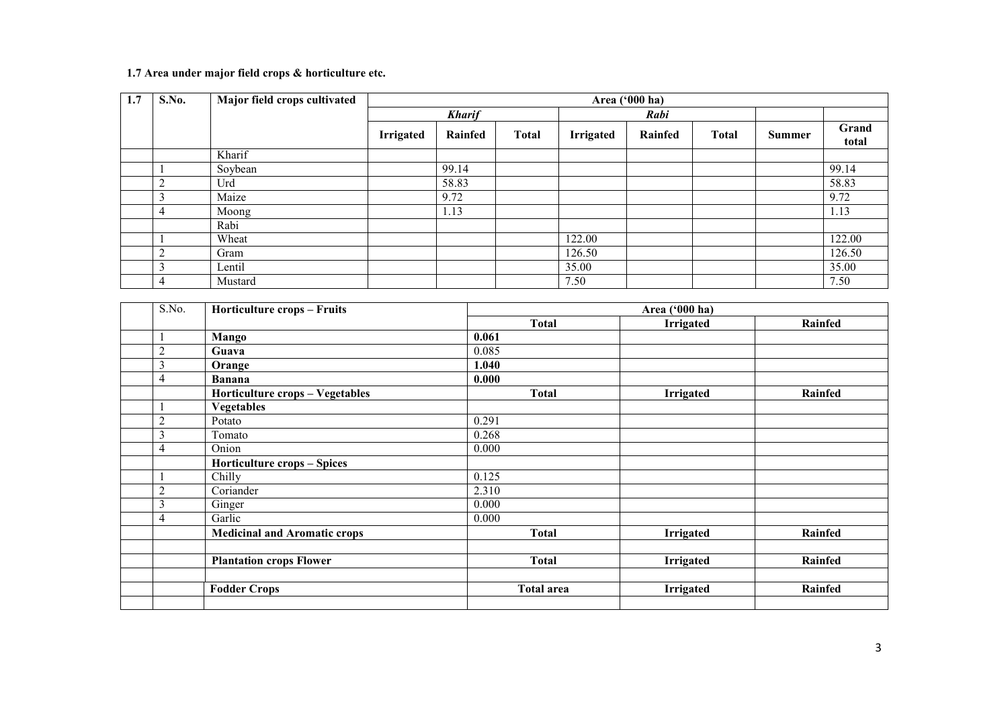#### 1.7 Area under major field crops & horticulture etc.

| 1.7 | S.No. | Major field crops cultivated | Area ('000 ha)   |               |              |                  |         |              |        |                |
|-----|-------|------------------------------|------------------|---------------|--------------|------------------|---------|--------------|--------|----------------|
|     |       |                              |                  | <b>Kharif</b> |              |                  | Rabi    |              |        |                |
|     |       |                              | <b>Irrigated</b> | Rainfed       | <b>Total</b> | <b>Irrigated</b> | Rainfed | <b>Total</b> | Summer | Grand<br>total |
|     |       | Kharif                       |                  |               |              |                  |         |              |        |                |
|     |       | Soybean                      |                  | 99.14         |              |                  |         |              |        | 99.14          |
|     |       | Urd                          |                  | 58.83         |              |                  |         |              |        | 58.83          |
|     |       | Maize                        |                  | 9.72          |              |                  |         |              |        | 9.72           |
|     |       | Moong                        |                  | 1.13          |              |                  |         |              |        | 1.13           |
|     |       | Rabi                         |                  |               |              |                  |         |              |        |                |
|     |       | Wheat                        |                  |               |              | 122.00           |         |              |        | 122.00         |
|     |       | Gram                         |                  |               |              | 126.50           |         |              |        | 126.50         |
|     |       | Lentil                       |                  |               |              | 35.00            |         |              |        | 35.00          |
|     | 4     | Mustard                      |                  |               |              | 7.50             |         |              |        | 7.50           |

| S.No.          | <b>Horticulture crops - Fruits</b>  |                   | Area ('000 ha)   |                |  |  |  |  |
|----------------|-------------------------------------|-------------------|------------------|----------------|--|--|--|--|
|                |                                     | <b>Total</b>      | <b>Irrigated</b> | <b>Rainfed</b> |  |  |  |  |
|                | Mango                               | 0.061             |                  |                |  |  |  |  |
| $\mathfrak{2}$ | Guava                               | 0.085             |                  |                |  |  |  |  |
| 3              | Orange                              | 1.040             |                  |                |  |  |  |  |
| 4              | <b>Banana</b>                       | 0.000             |                  |                |  |  |  |  |
|                | Horticulture crops - Vegetables     | <b>Total</b>      | <b>Irrigated</b> | Rainfed        |  |  |  |  |
|                | <b>Vegetables</b>                   |                   |                  |                |  |  |  |  |
| $\overline{2}$ | Potato                              | 0.291             |                  |                |  |  |  |  |
| 3              | Tomato                              | 0.268             |                  |                |  |  |  |  |
| 4              | Onion                               | 0.000             |                  |                |  |  |  |  |
|                | <b>Horticulture crops - Spices</b>  |                   |                  |                |  |  |  |  |
|                | Chilly                              | 0.125             |                  |                |  |  |  |  |
| $\overline{2}$ | Coriander                           | 2.310             |                  |                |  |  |  |  |
| 3              | Ginger                              | 0.000             |                  |                |  |  |  |  |
| $\overline{4}$ | Garlic                              | 0.000             |                  |                |  |  |  |  |
|                | <b>Medicinal and Aromatic crops</b> | <b>Total</b>      | Irrigated        | <b>Rainfed</b> |  |  |  |  |
|                |                                     |                   |                  |                |  |  |  |  |
|                | <b>Plantation crops Flower</b>      | <b>Total</b>      | <b>Irrigated</b> | <b>Rainfed</b> |  |  |  |  |
|                |                                     |                   |                  |                |  |  |  |  |
|                | <b>Fodder Crops</b>                 | <b>Total area</b> | Irrigated        | <b>Rainfed</b> |  |  |  |  |
|                |                                     |                   |                  |                |  |  |  |  |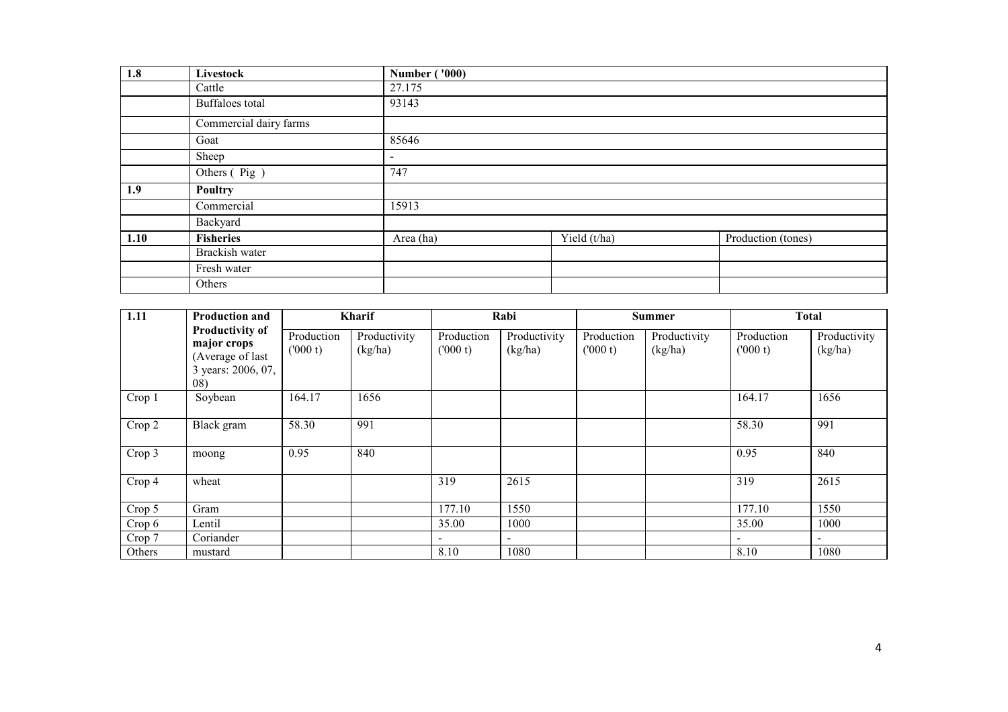| 1.8  | Livestock              | <b>Number ('000)</b>     |              |                    |
|------|------------------------|--------------------------|--------------|--------------------|
|      | Cattle                 | 27.175                   |              |                    |
|      | Buffaloes total        | 93143                    |              |                    |
|      | Commercial dairy farms |                          |              |                    |
|      | Goat                   | 85646                    |              |                    |
|      | Sheep                  | $\overline{\phantom{a}}$ |              |                    |
|      | Others (Pig)           | 747                      |              |                    |
| 1.9  | <b>Poultry</b>         |                          |              |                    |
|      | Commercial             | 15913                    |              |                    |
|      | Backyard               |                          |              |                    |
| 1.10 | <b>Fisheries</b>       | Area (ha)                | Yield (t/ha) | Production (tones) |
|      | Brackish water         |                          |              |                    |
|      | Fresh water            |                          |              |                    |
|      | Others                 |                          |              |                    |

| $\vert$ 1.11 | <b>Production and</b>                                                                   |                       | Kharif                  |                          | Rabi                     |                       | <b>Summer</b>           |                          | <b>Total</b>             |
|--------------|-----------------------------------------------------------------------------------------|-----------------------|-------------------------|--------------------------|--------------------------|-----------------------|-------------------------|--------------------------|--------------------------|
|              | <b>Productivity of</b><br>major crops<br>(Average of last<br>3 years: 2006, 07,<br>(08) | Production<br>(000 t) | Productivity<br>(kg/ha) | Production<br>(000 t)    | Productivity<br>(kg/ha)  | Production<br>(000 t) | Productivity<br>(kg/ha) | Production<br>(000 t)    | Productivity<br>(kg/ha)  |
| Crop 1       | Soybean                                                                                 | 164.17                | 1656                    |                          |                          |                       |                         | 164.17                   | 1656                     |
| Crop 2       | Black gram                                                                              | 58.30                 | 991                     |                          |                          |                       |                         | 58.30                    | 991                      |
| Crop 3       | moong                                                                                   | 0.95                  | 840                     |                          |                          |                       |                         | 0.95                     | 840                      |
| Crop 4       | wheat                                                                                   |                       |                         | 319                      | 2615                     |                       |                         | 319                      | 2615                     |
| Crop 5       | Gram                                                                                    |                       |                         | 177.10                   | 1550                     |                       |                         | 177.10                   | 1550                     |
| Crop 6       | Lentil                                                                                  |                       |                         | 35.00                    | 1000                     |                       |                         | 35.00                    | 1000                     |
| Crop 7       | Coriander                                                                               |                       |                         | $\overline{\phantom{a}}$ | $\overline{\phantom{0}}$ |                       |                         | $\overline{\phantom{a}}$ | $\overline{\phantom{a}}$ |
| Others       | mustard                                                                                 |                       |                         | 8.10                     | 1080                     |                       |                         | 8.10                     | 1080                     |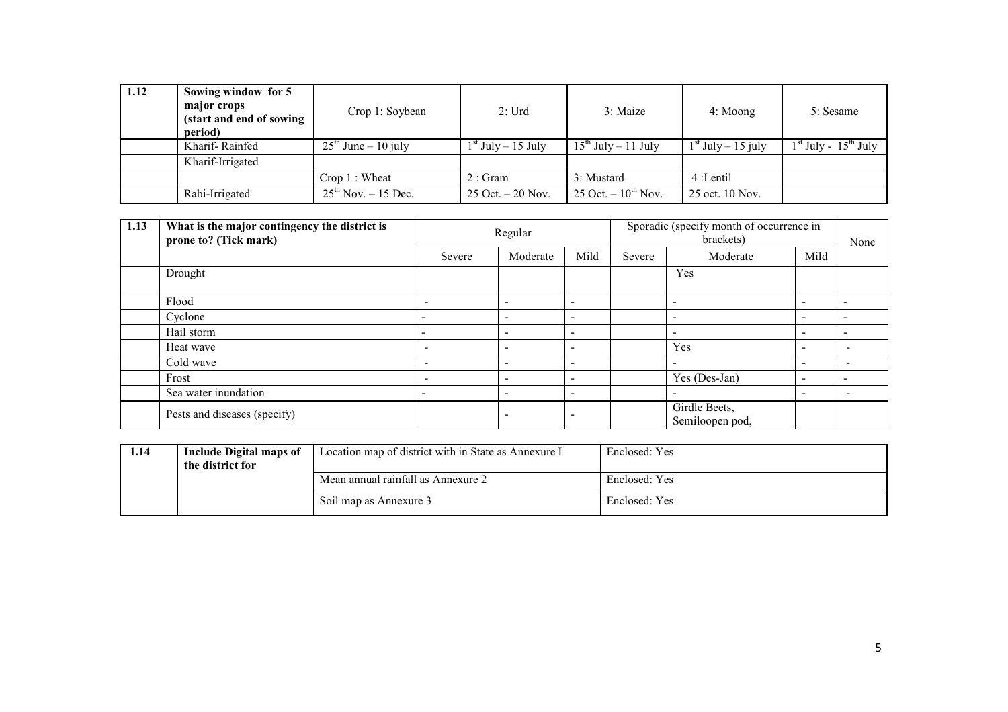| 1.12 | Sowing window for 5<br>major crops<br>(start and end of sowing)<br>period) | Crop 1: Soybean           | 2:Urd                  | 3: Maize                 | 4: Moong             | 5: Sesame                |
|------|----------------------------------------------------------------------------|---------------------------|------------------------|--------------------------|----------------------|--------------------------|
|      | Kharif-Rainfed                                                             | $25th$ June – 10 july     | $1st$ July $- 15$ July | $15^{th}$ July – 11 July | $1st$ July – 15 july | $1st$ July - $15th$ July |
|      | Kharif-Irrigated                                                           |                           |                        |                          |                      |                          |
|      |                                                                            | Crop 1: Wheat             | 2:Gram                 | 3: Mustard               | 4:Lentil             |                          |
|      | Rabi-Irrigated                                                             | $25^{th}$ Nov. $-15$ Dec. | $25$ Oct. $-20$ Nov.   | 25 Oct. $-10^{th}$ Nov.  | 25 oct. 10 Nov.      |                          |

| 1.13 | What is the major contingency the district is<br>prone to? (Tick mark) | Regular                  |                          |                          | Sporadic (specify month of occurrence in | None                             |                          |                          |
|------|------------------------------------------------------------------------|--------------------------|--------------------------|--------------------------|------------------------------------------|----------------------------------|--------------------------|--------------------------|
|      |                                                                        | Severe                   | Moderate                 | Mild                     | Severe                                   | Moderate                         | Mild                     |                          |
|      | Drought                                                                |                          |                          |                          |                                          | Yes                              |                          |                          |
|      | Flood                                                                  | $\overline{\phantom{a}}$ | $\overline{\phantom{0}}$ |                          |                                          |                                  | $\overline{\phantom{0}}$ |                          |
|      | Cyclone                                                                | $\overline{\phantom{a}}$ | $\overline{a}$           | $\overline{\phantom{0}}$ |                                          |                                  | $\overline{\phantom{a}}$ |                          |
|      | Hail storm                                                             | $\overline{\phantom{a}}$ | $\overline{\phantom{a}}$ | $\overline{\phantom{a}}$ |                                          | $\overline{\phantom{a}}$         | $\overline{\phantom{a}}$ | $\overline{\phantom{a}}$ |
|      | Heat wave                                                              | $\overline{\phantom{a}}$ | $\overline{\phantom{0}}$ | $\overline{\phantom{a}}$ |                                          | Yes                              | $\overline{\phantom{a}}$ | $\overline{\phantom{0}}$ |
|      | Cold wave                                                              | $\overline{\phantom{a}}$ | $\overline{a}$           | $\overline{\phantom{0}}$ |                                          |                                  | $\overline{\phantom{0}}$ |                          |
|      | Frost                                                                  | $\overline{\phantom{0}}$ | $\overline{a}$           | $\overline{\phantom{0}}$ |                                          | Yes (Des-Jan)                    | $\overline{\phantom{0}}$ | $\overline{\phantom{0}}$ |
|      | Sea water inundation                                                   | $\sim$                   | $\overline{\phantom{0}}$ | $\overline{\phantom{a}}$ |                                          | $\overline{\phantom{a}}$         | $\overline{\phantom{0}}$ |                          |
|      | Pests and diseases (specify)                                           |                          | $\overline{\phantom{0}}$ |                          |                                          | Girdle Beets,<br>Semiloopen pod, |                          |                          |

| 1.14 | Include Digital maps of<br>the district for | Location map of district with in State as Annexure I | Enclosed: Yes |
|------|---------------------------------------------|------------------------------------------------------|---------------|
|      |                                             | Mean annual rainfall as Annexure 2                   | Enclosed: Yes |
|      |                                             | Soil map as Annexure 3                               | Enclosed: Yes |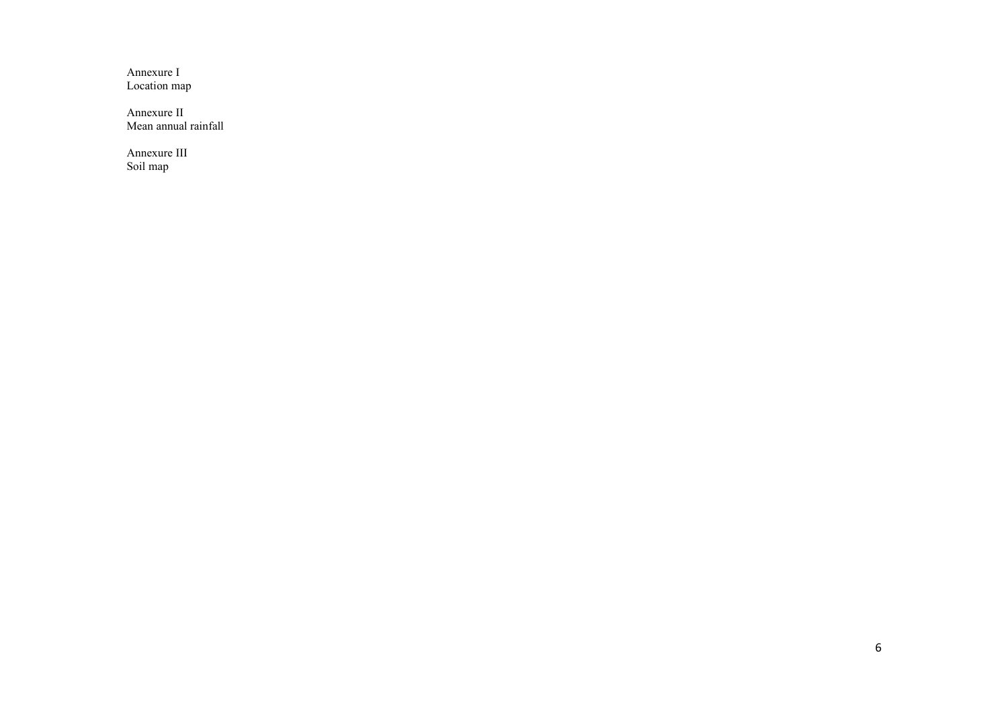Annexure I Location map

Annexure II Mean annual rainfall

Annexure III Soil map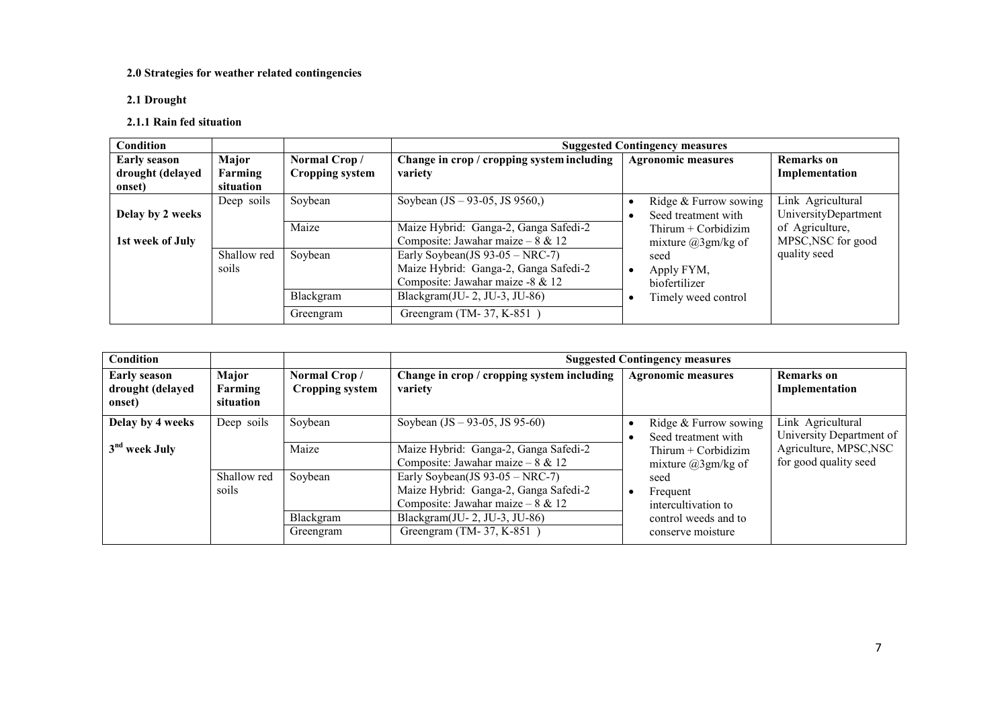# 2.0 Strategies for weather related contingencies

# 2.1 Drought

# 2.1.1 Rain fed situation

| <b>Condition</b>    |             |                        | <b>Suggested Contingency measures</b>      |                           |                      |  |  |
|---------------------|-------------|------------------------|--------------------------------------------|---------------------------|----------------------|--|--|
| <b>Early season</b> | Major       | Normal Crop/           | Change in crop / cropping system including | <b>Agronomic measures</b> | <b>Remarks</b> on    |  |  |
| drought (delayed    | Farming     | <b>Cropping system</b> | variety                                    |                           | Implementation       |  |  |
| onset)              | situation   |                        |                                            |                           |                      |  |  |
|                     | Deep soils  | Soybean                | Soybean $(JS - 93-05, JS 9560)$            | Ridge & Furrow sowing     | Link Agricultural    |  |  |
| Delay by 2 weeks    |             |                        |                                            | Seed treatment with       | UniversityDepartment |  |  |
|                     |             | Maize                  | Maize Hybrid: Ganga-2, Ganga Safedi-2      | Thirum $+$ Corbidizim     | of Agriculture,      |  |  |
| 1st week of July    |             |                        | Composite: Jawahar maize – $8 \& 12$       | mixture $(a)3gm/kg$ of    | MPSC, NSC for good   |  |  |
|                     | Shallow red | Soybean                | Early Soybean(JS $93-05 - \text{NRC-7}$ )  | seed                      | quality seed         |  |  |
|                     | soils       |                        | Maize Hybrid: Ganga-2, Ganga Safedi-2      | Apply FYM,                |                      |  |  |
|                     |             |                        | Composite: Jawahar maize -8 & 12           | biofertilizer             |                      |  |  |
|                     |             | Blackgram              | Blackgram $(U-2, JU-3, JU-86)$             | Timely weed control       |                      |  |  |
|                     |             | Greengram              | Greengram (TM-37, K-851)                   |                           |                      |  |  |

| Condition                                         |                               |                                        | <b>Suggested Contingency measures</b>                                        |                                                 |                                                 |  |  |
|---------------------------------------------------|-------------------------------|----------------------------------------|------------------------------------------------------------------------------|-------------------------------------------------|-------------------------------------------------|--|--|
| <b>Early season</b><br>drought (delayed<br>onset) | Major<br>Farming<br>situation | Normal Crop/<br><b>Cropping system</b> | Change in crop / cropping system including<br>variety                        | <b>Agronomic measures</b>                       | <b>Remarks</b> on<br>Implementation             |  |  |
| Delay by 4 weeks                                  | Deep soils                    | Soybean                                | Soybean $(JS - 93-05, JS 95-60)$                                             | Ridge & Furrow sowing<br>Seed treatment with    | Link Agricultural<br>University Department of   |  |  |
| 3 <sup>nd</sup> week July                         |                               | Maize                                  | Maize Hybrid: Ganga-2, Ganga Safedi-2<br>Composite: Jawahar maize – $8 & 12$ | Thirum $+$ Corbidizim<br>mixture $(a)3gm/kg$ of | Agriculture, MPSC, NSC<br>for good quality seed |  |  |
|                                                   | Shallow red                   | Soybean                                | Early Soybean(JS $93-05 - \text{NRC-7}$ )                                    | seed                                            |                                                 |  |  |
|                                                   | soils                         |                                        | Maize Hybrid: Ganga-2, Ganga Safedi-2<br>Composite: Jawahar maize – $8 & 12$ | Frequent<br>intercultivation to                 |                                                 |  |  |
|                                                   |                               | Blackgram                              | Blackgram $(U - 2, JU - 3, JU - 86)$                                         | control weeds and to                            |                                                 |  |  |
|                                                   |                               | Greengram                              | Greengram (TM-37, K-851)                                                     | conserve moisture                               |                                                 |  |  |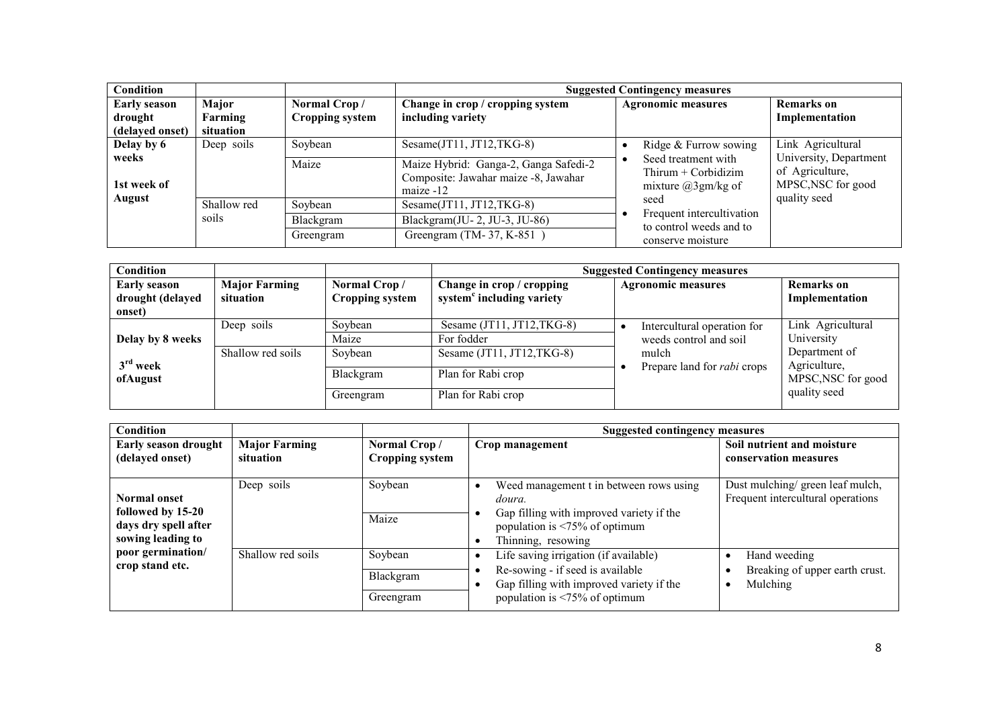| <b>Condition</b>                                  |                               |                                        | <b>Suggested Contingency measures</b>                                                        |                                                                                                                                        |                                                                                 |  |
|---------------------------------------------------|-------------------------------|----------------------------------------|----------------------------------------------------------------------------------------------|----------------------------------------------------------------------------------------------------------------------------------------|---------------------------------------------------------------------------------|--|
| <b>Early season</b><br>drought<br>(delayed onset) | Major<br>Farming<br>situation | Normal Crop/<br><b>Cropping system</b> | Change in crop / cropping system<br>including variety                                        | <b>Agronomic measures</b>                                                                                                              | <b>Remarks</b> on<br>Implementation                                             |  |
| Delay by 6                                        | Deep soils                    | Soybean                                | Sesame $(T11, T12, TKG-8)$                                                                   | Ridge & Furrow sowing                                                                                                                  | Link Agricultural                                                               |  |
| weeks<br>1st week of                              |                               | Maize                                  | Maize Hybrid: Ganga-2, Ganga Safedi-2<br>Composite: Jawahar maize -8, Jawahar<br>maize $-12$ | Seed treatment with<br>Thirum $+$ Corbidizim<br>mixture $(a)3gm/kg$ of<br>seed<br>Frequent intercultivation<br>to control weeds and to | University, Department<br>of Agriculture,<br>MPSC, NSC for good<br>quality seed |  |
| August                                            | Shallow red                   | Soybean                                | Sesame $(T11, T12, TKG-8)$                                                                   |                                                                                                                                        |                                                                                 |  |
|                                                   | soils                         | Blackgram                              | Blackgram $(U-2, JU-3, JU-86)$                                                               |                                                                                                                                        |                                                                                 |  |
|                                                   |                               | Greengram                              | Greengram (TM-37, K-851)                                                                     | conserve moisture                                                                                                                      |                                                                                 |  |

| <b>Condition</b>                                  |                                   |                                        | <b>Suggested Contingency measures</b>                              |                                                       |                                     |  |  |
|---------------------------------------------------|-----------------------------------|----------------------------------------|--------------------------------------------------------------------|-------------------------------------------------------|-------------------------------------|--|--|
| <b>Early season</b><br>drought (delayed<br>onset) | <b>Major Farming</b><br>situation | Normal Crop/<br><b>Cropping system</b> | Change in crop / cropping<br>system <sup>c</sup> including variety | <b>Agronomic measures</b>                             | <b>Remarks</b> on<br>Implementation |  |  |
| Delay by 8 weeks                                  | Deep soils                        | Soybean<br>Maize                       | Sesame (JT11, JT12, TKG-8)<br>For fodder                           | Intercultural operation for<br>weeds control and soil | Link Agricultural<br>University     |  |  |
| $3rd$ week                                        | Shallow red soils                 | Soybean                                | Sesame (JT11, JT12,TKG-8)                                          | mulch<br>Prepare land for <i>rabi</i> crops           | Department of<br>Agriculture,       |  |  |
| ofAugust                                          |                                   | Blackgram                              | Plan for Rabi crop                                                 |                                                       | MPSC, NSC for good                  |  |  |
|                                                   |                                   | Greengram                              | Plan for Rabi crop                                                 |                                                       | quality seed                        |  |  |

| <b>Condition</b>                                                                      |                                   |                                        |                                                                                                                                                               | Suggested contingency measures                                       |  |  |  |
|---------------------------------------------------------------------------------------|-----------------------------------|----------------------------------------|---------------------------------------------------------------------------------------------------------------------------------------------------------------|----------------------------------------------------------------------|--|--|--|
| <b>Early season drought</b><br>(delayed onset)                                        | <b>Major Farming</b><br>situation | Normal Crop/<br><b>Cropping system</b> | Crop management                                                                                                                                               | Soil nutrient and moisture<br>conservation measures                  |  |  |  |
|                                                                                       |                                   |                                        |                                                                                                                                                               |                                                                      |  |  |  |
| <b>Normal onset</b><br>followed by 15-20<br>days dry spell after<br>sowing leading to | Deep soils                        | Soybean<br>Maize                       | Weed management t in between rows using<br>doura.<br>Gap filling with improved variety if the<br>population is $\leq 75\%$ of optimum<br>Thinning, resowing   | Dust mulching/green leaf mulch,<br>Frequent intercultural operations |  |  |  |
| poor germination/<br>crop stand etc.                                                  | Shallow red soils                 | Soybean<br>Blackgram<br>Greengram      | Life saving irrigation (if available)<br>Re-sowing - if seed is available<br>Gap filling with improved variety if the<br>population is $\leq 75\%$ of optimum | Hand weeding<br>Breaking of upper earth crust.<br>Mulching           |  |  |  |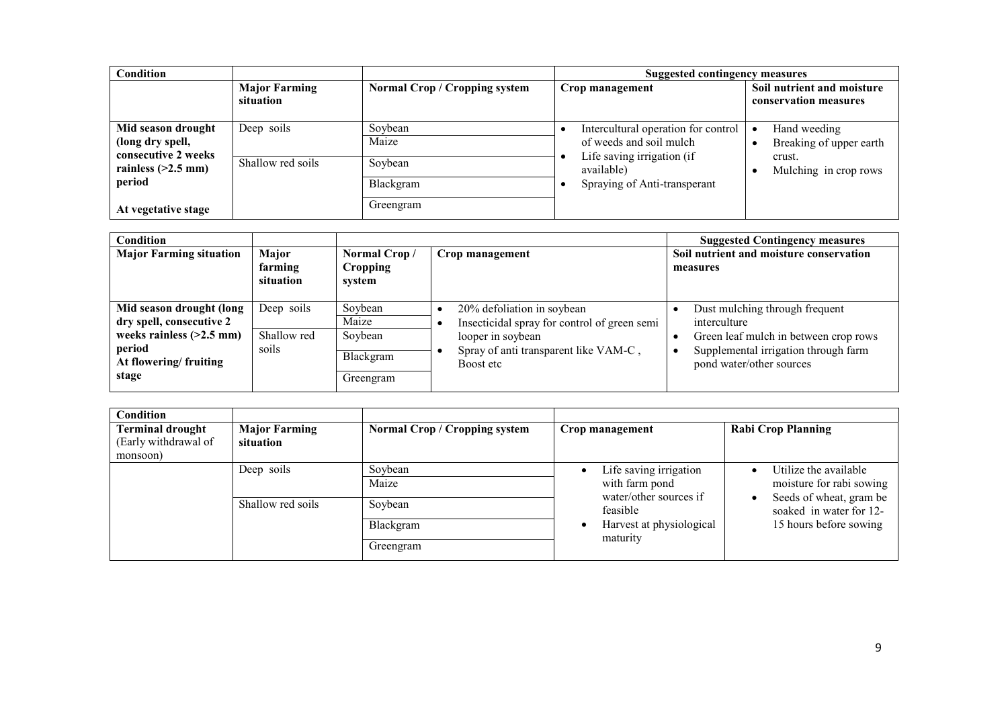| <b>Condition</b>                                      |                                   |                                      | Suggested contingency measures                                           |                                                     |
|-------------------------------------------------------|-----------------------------------|--------------------------------------|--------------------------------------------------------------------------|-----------------------------------------------------|
|                                                       | <b>Major Farming</b><br>situation | <b>Normal Crop / Cropping system</b> | Crop management                                                          | Soil nutrient and moisture<br>conservation measures |
| Mid season drought<br>(long dry spell,                | Deep soils                        | Soybean<br>Maize                     | Intercultural operation for control<br>of weeds and soil mulch           | Hand weeding<br>Breaking of upper earth             |
| consecutive 2 weeks<br>rainless $(>2.5$ mm)<br>period | Shallow red soils                 | Soybean<br>Blackgram                 | Life saving irrigation (if<br>available)<br>Spraying of Anti-transperant | crust.<br>Mulching in crop rows                     |
| At vegetative stage                                   |                                   | Greengram                            |                                                                          |                                                     |

| <b>Condition</b><br><b>Major Farming situation</b>   | Major<br>farming<br>situation | Normal Crop/<br>Cropping<br>system | Crop management                                                   | <b>Suggested Contingency measures</b><br>Soil nutrient and moisture conservation<br>measures |
|------------------------------------------------------|-------------------------------|------------------------------------|-------------------------------------------------------------------|----------------------------------------------------------------------------------------------|
| Mid season drought (long<br>dry spell, consecutive 2 | Deep soils                    | Soybean<br>Maize                   | 20% defoliation in soybean                                        | Dust mulching through frequent                                                               |
| weeks rainless $(>2.5$ mm)                           | Shallow red                   | Soybean                            | Insecticidal spray for control of green semi<br>looper in soybean | interculture<br>Green leaf mulch in between crop rows                                        |
| period<br>At flowering/fruiting<br>stage             | soils                         | Blackgram<br>Greengram             | Spray of anti transparent like VAM-C,<br>Boost etc                | Supplemental irrigation through farm<br>pond water/other sources                             |

| <b>Condition</b>                                            |                                   |                               |                                          |                                                     |
|-------------------------------------------------------------|-----------------------------------|-------------------------------|------------------------------------------|-----------------------------------------------------|
| <b>Terminal drought</b><br>(Early withdrawal of<br>monsoon) | <b>Major Farming</b><br>situation | Normal Crop / Cropping system | Crop management                          | <b>Rabi Crop Planning</b>                           |
|                                                             | Deep soils                        | Soybean                       | Life saving irrigation                   | Utilize the available                               |
|                                                             |                                   | Maize                         | with farm pond<br>water/other sources if | moisture for rabi sowing<br>Seeds of wheat, gram be |
|                                                             | Shallow red soils                 | Soybean                       | feasible                                 | soaked in water for 12-                             |
|                                                             |                                   | Blackgram                     | Harvest at physiological<br>maturity     | 15 hours before sowing                              |
|                                                             |                                   | Greengram                     |                                          |                                                     |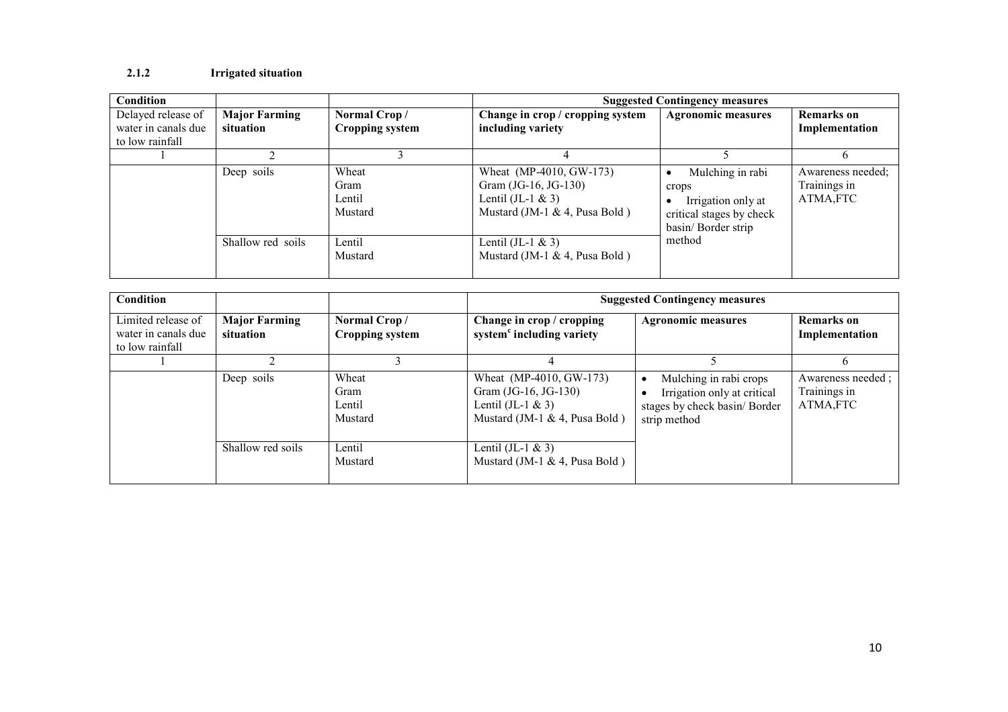#### 2.1.2 Irrigated situation

| Condition           |                      |                        |                                  | <b>Suggested Contingency measures</b> |                   |
|---------------------|----------------------|------------------------|----------------------------------|---------------------------------------|-------------------|
| Delayed release of  | <b>Major Farming</b> | Normal Crop/           | Change in crop / cropping system | <b>Agronomic measures</b>             | <b>Remarks</b> on |
| water in canals due | situation            | <b>Cropping system</b> | including variety                |                                       | Implementation    |
| to low rainfall     |                      |                        |                                  |                                       |                   |
|                     |                      |                        |                                  |                                       | b.                |
|                     | Deep soils           | Wheat                  | Wheat (MP-4010, GW-173)          | Mulching in rabi                      | Awareness needed: |
|                     |                      | Gram                   | Gram (JG-16, JG-130)             | crops                                 | Trainings in      |
|                     |                      | Lentil                 | Lentil $(II-1 & 3)$              | Irrigation only at                    | ATMA,FTC          |
|                     |                      | Mustard                | Mustard (JM-1 & 4, Pusa Bold)    | critical stages by check              |                   |
|                     |                      |                        |                                  | basin/ Border strip                   |                   |
|                     | Shallow red soils    | Lentil                 | Lentil $($ JL-1 & 3 $)$          | method                                |                   |
|                     |                      | Mustard                | Mustard (JM-1 & 4, Pusa Bold)    |                                       |                   |
|                     |                      |                        |                                  |                                       |                   |

| Condition                                                    |                                   |                                        | <b>Suggested Contingency measures</b>                                                                   |                                                                                                             |                                                |  |  |
|--------------------------------------------------------------|-----------------------------------|----------------------------------------|---------------------------------------------------------------------------------------------------------|-------------------------------------------------------------------------------------------------------------|------------------------------------------------|--|--|
| Limited release of<br>water in canals due<br>to low rainfall | <b>Major Farming</b><br>situation | Normal Crop/<br><b>Cropping system</b> | Change in crop / cropping<br>system <sup>c</sup> including variety                                      | <b>Agronomic measures</b>                                                                                   | <b>Remarks</b> on<br>Implementation            |  |  |
|                                                              |                                   |                                        |                                                                                                         |                                                                                                             |                                                |  |  |
|                                                              | Deep soils                        | Wheat<br>Gram<br>Lentil<br>Mustard     | Wheat (MP-4010, GW-173)<br>Gram (JG-16, JG-130)<br>Lentil $(JI-1 & 3)$<br>Mustard (JM-1 & 4, Pusa Bold) | Mulching in rabi crops<br>٠<br>Irrigation only at critical<br>stages by check basin/ Border<br>strip method | Awareness needed ;<br>Trainings in<br>ATMA,FTC |  |  |
|                                                              | Shallow red soils                 | Lentil<br>Mustard                      | Lentil (JL-1 $\&$ 3)<br>Mustard (JM-1 $\&$ 4, Pusa Bold)                                                |                                                                                                             |                                                |  |  |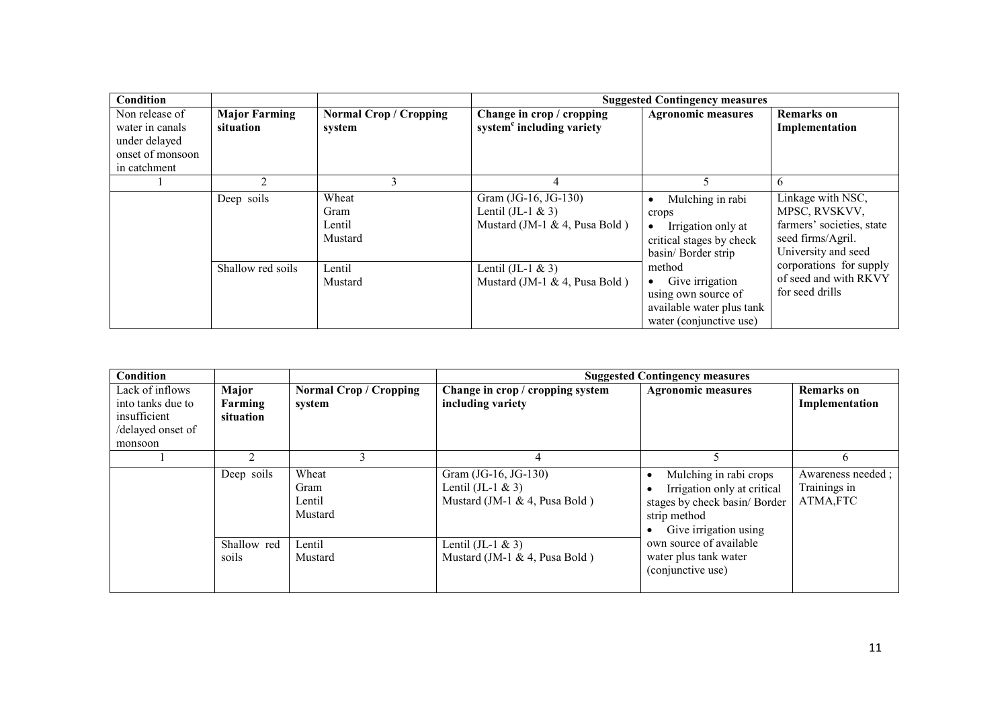| Condition                                                                              |                                   |                                         |                                                                              | <b>Suggested Contingency measures</b>                                                                                        |                                                                                                             |
|----------------------------------------------------------------------------------------|-----------------------------------|-----------------------------------------|------------------------------------------------------------------------------|------------------------------------------------------------------------------------------------------------------------------|-------------------------------------------------------------------------------------------------------------|
| Non release of<br>water in canals<br>under delayed<br>onset of monsoon<br>in catchment | <b>Major Farming</b><br>situation | <b>Normal Crop / Cropping</b><br>system | Change in crop / cropping<br>system <sup>c</sup> including variety           | <b>Agronomic measures</b>                                                                                                    | <b>Remarks</b> on<br>Implementation                                                                         |
|                                                                                        | 2                                 |                                         | 4                                                                            | 5                                                                                                                            | 6                                                                                                           |
|                                                                                        | Deep soils                        | Wheat<br>Gram<br>Lentil<br>Mustard      | Gram (JG-16, JG-130)<br>Lentil (JL-1 $&$ 3)<br>Mustard (JM-1 & 4, Pusa Bold) | Mulching in rabi<br>$\bullet$<br>crops<br>Irrigation only at<br>$\bullet$<br>critical stages by check<br>basin/ Border strip | Linkage with NSC,<br>MPSC, RVSKVV,<br>farmers' societies, state<br>seed firms/Agril.<br>University and seed |
|                                                                                        | Shallow red soils                 | Lentil<br>Mustard                       | Lentil $(JI-1 & 3)$<br>Mustard (JM-1 & 4, Pusa Bold)                         | method<br>Give irrigation<br>$\bullet$<br>using own source of<br>available water plus tank<br>water (conjunctive use)        | corporations for supply<br>of seed and with RKVY<br>for seed drills                                         |

| Condition         |                      |                                    | <b>Suggested Contingency measures</b>                                         |                                                                                                                                 |                                                |  |
|-------------------|----------------------|------------------------------------|-------------------------------------------------------------------------------|---------------------------------------------------------------------------------------------------------------------------------|------------------------------------------------|--|
| Lack of inflows   | Major                | <b>Normal Crop / Cropping</b>      | Change in crop / cropping system                                              | <b>Agronomic measures</b>                                                                                                       | <b>Remarks</b> on                              |  |
| into tanks due to | Farming              | system                             | including variety                                                             |                                                                                                                                 | Implementation                                 |  |
| insufficient      | situation            |                                    |                                                                               |                                                                                                                                 |                                                |  |
| /delayed onset of |                      |                                    |                                                                               |                                                                                                                                 |                                                |  |
| monsoon           |                      |                                    |                                                                               |                                                                                                                                 |                                                |  |
|                   |                      |                                    |                                                                               |                                                                                                                                 | 6                                              |  |
|                   | Deep soils           | Wheat<br>Gram<br>Lentil<br>Mustard | Gram (JG-16, JG-130)<br>Lentil (JL-1 $\&$ 3)<br>Mustard (JM-1 & 4, Pusa Bold) | Mulching in rabi crops<br>Irrigation only at critical<br>stages by check basin/ Border<br>strip method<br>Give irrigation using | Awareness needed;<br>Trainings in<br>ATMA, FTC |  |
|                   | Shallow red<br>soils | Lentil<br>Mustard                  | Lentil $(JI-1 & 3)$<br>Mustard (JM-1 $\&$ 4, Pusa Bold)                       | own source of available<br>water plus tank water<br>(conjunctive use)                                                           |                                                |  |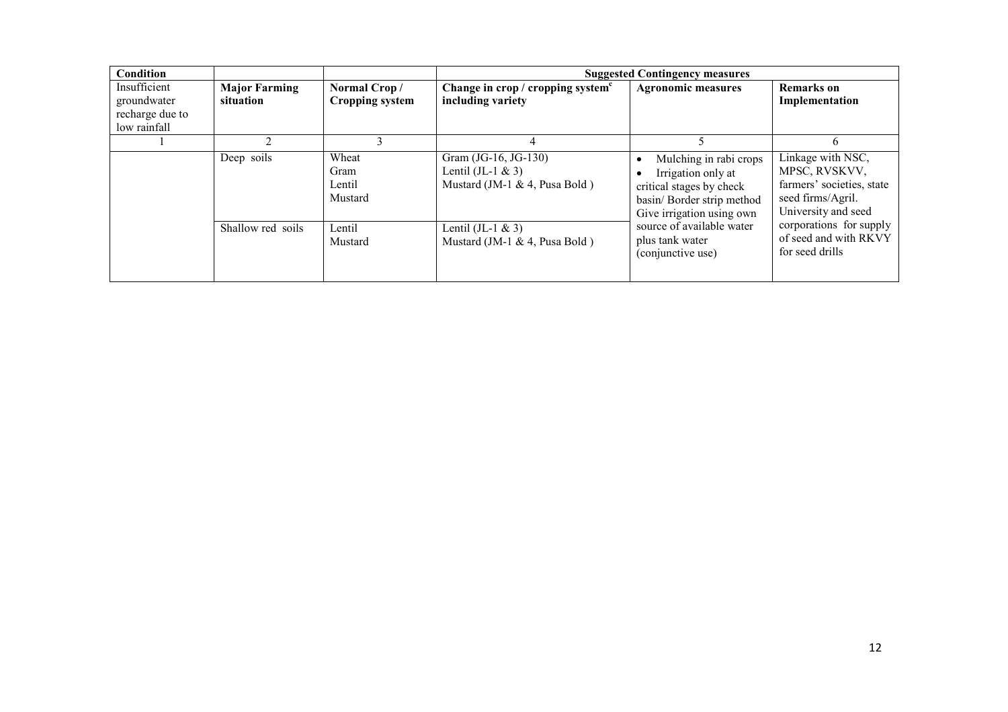| Condition                                                      |                                   |                                        | <b>Suggested Contingency measures</b>                                           |                                                                                                                                     |                                                                                                             |  |
|----------------------------------------------------------------|-----------------------------------|----------------------------------------|---------------------------------------------------------------------------------|-------------------------------------------------------------------------------------------------------------------------------------|-------------------------------------------------------------------------------------------------------------|--|
| Insufficient<br>groundwater<br>recharge due to<br>low rainfall | <b>Major Farming</b><br>situation | Normal Crop/<br><b>Cropping system</b> | Change in crop / cropping system $c$<br>including variety                       | <b>Agronomic measures</b>                                                                                                           | <b>Remarks</b> on<br>Implementation                                                                         |  |
|                                                                |                                   |                                        | 4                                                                               |                                                                                                                                     | h                                                                                                           |  |
|                                                                | Deep soils                        | Wheat<br>Gram<br>Lentil<br>Mustard     | Gram (JG-16, JG-130)<br>Lentil (JL-1 $&$ 3)<br>Mustard (JM-1 $\&$ 4, Pusa Bold) | Mulching in rabi crops<br>Irrigation only at<br>critical stages by check<br>basin/ Border strip method<br>Give irrigation using own | Linkage with NSC,<br>MPSC, RVSKVV,<br>farmers' societies, state<br>seed firms/Agril.<br>University and seed |  |
|                                                                | Shallow red soils                 | Lentil<br>Mustard                      | Lentil $($ JL-1 & 3 $)$<br>Mustard (JM-1 $\&$ 4, Pusa Bold)                     | source of available water<br>plus tank water<br>(conjunctive use)                                                                   | corporations for supply<br>of seed and with RKVY<br>for seed drills                                         |  |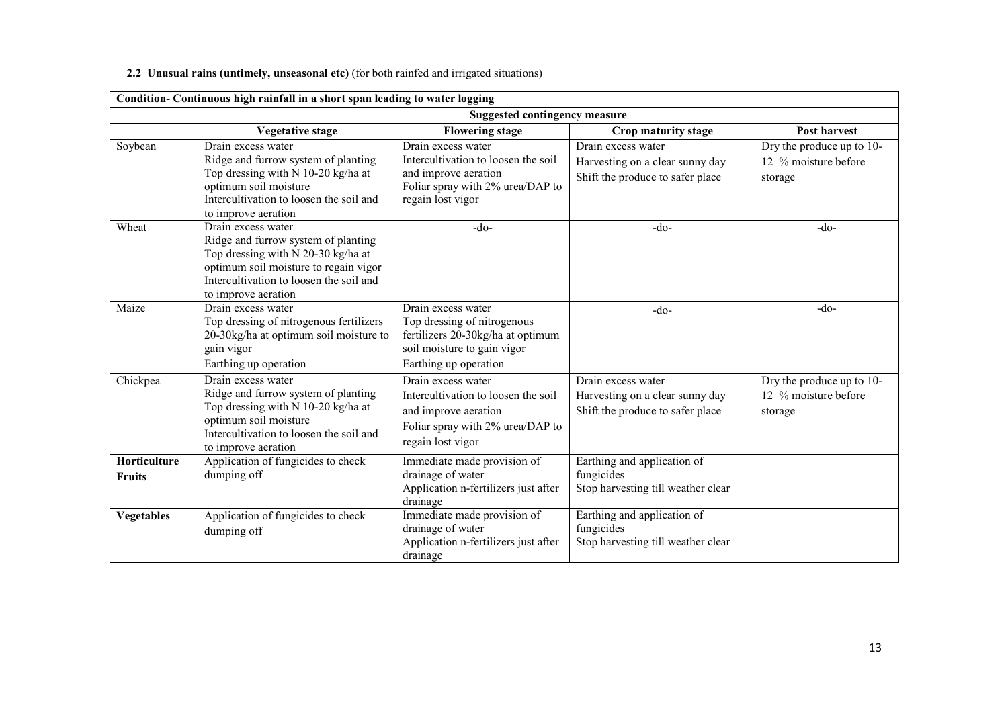# 2.2 Unusual rains (untimely, unseasonal etc) (for both rainfed and irrigated situations)

|                               | Condition- Continuous high rainfall in a short span leading to water logging                                                                                                                               |                                                                                                                                                |                                                                                           |                                                              |  |  |
|-------------------------------|------------------------------------------------------------------------------------------------------------------------------------------------------------------------------------------------------------|------------------------------------------------------------------------------------------------------------------------------------------------|-------------------------------------------------------------------------------------------|--------------------------------------------------------------|--|--|
|                               |                                                                                                                                                                                                            | <b>Suggested contingency measure</b>                                                                                                           |                                                                                           |                                                              |  |  |
|                               | <b>Vegetative stage</b>                                                                                                                                                                                    | <b>Flowering stage</b>                                                                                                                         | Crop maturity stage                                                                       | Post harvest                                                 |  |  |
| Soybean                       | Drain excess water<br>Ridge and furrow system of planting<br>Top dressing with N 10-20 kg/ha at<br>optimum soil moisture<br>Intercultivation to loosen the soil and<br>to improve aeration                 | Drain excess water<br>Intercultivation to loosen the soil<br>and improve aeration<br>Foliar spray with 2% urea/DAP to<br>regain lost vigor     | Drain excess water<br>Harvesting on a clear sunny day<br>Shift the produce to safer place | Dry the produce up to 10-<br>12 % moisture before<br>storage |  |  |
| Wheat                         | Drain excess water<br>Ridge and furrow system of planting<br>Top dressing with N 20-30 kg/ha at<br>optimum soil moisture to regain vigor<br>Intercultivation to loosen the soil and<br>to improve aeration | -do-                                                                                                                                           | $-do-$                                                                                    | $-do-$                                                       |  |  |
| Maize                         | Drain excess water<br>Top dressing of nitrogenous fertilizers<br>20-30kg/ha at optimum soil moisture to<br>gain vigor<br>Earthing up operation                                                             | Drain excess water<br>Top dressing of nitrogenous<br>fertilizers 20-30kg/ha at optimum<br>soil moisture to gain vigor<br>Earthing up operation | $-do-$                                                                                    | $-do-$                                                       |  |  |
| Chickpea                      | Drain excess water<br>Ridge and furrow system of planting<br>Top dressing with N 10-20 kg/ha at<br>optimum soil moisture<br>Intercultivation to loosen the soil and<br>to improve aeration                 | Drain excess water<br>Intercultivation to loosen the soil<br>and improve aeration<br>Foliar spray with 2% urea/DAP to<br>regain lost vigor     | Drain excess water<br>Harvesting on a clear sunny day<br>Shift the produce to safer place | Dry the produce up to 10-<br>12 % moisture before<br>storage |  |  |
| Horticulture<br><b>Fruits</b> | Application of fungicides to check<br>dumping off                                                                                                                                                          | Immediate made provision of<br>drainage of water<br>Application n-fertilizers just after<br>drainage                                           | Earthing and application of<br>fungicides<br>Stop harvesting till weather clear           |                                                              |  |  |
| <b>Vegetables</b>             | Application of fungicides to check<br>dumping off                                                                                                                                                          | Immediate made provision of<br>drainage of water<br>Application n-fertilizers just after<br>drainage                                           | Earthing and application of<br>fungicides<br>Stop harvesting till weather clear           |                                                              |  |  |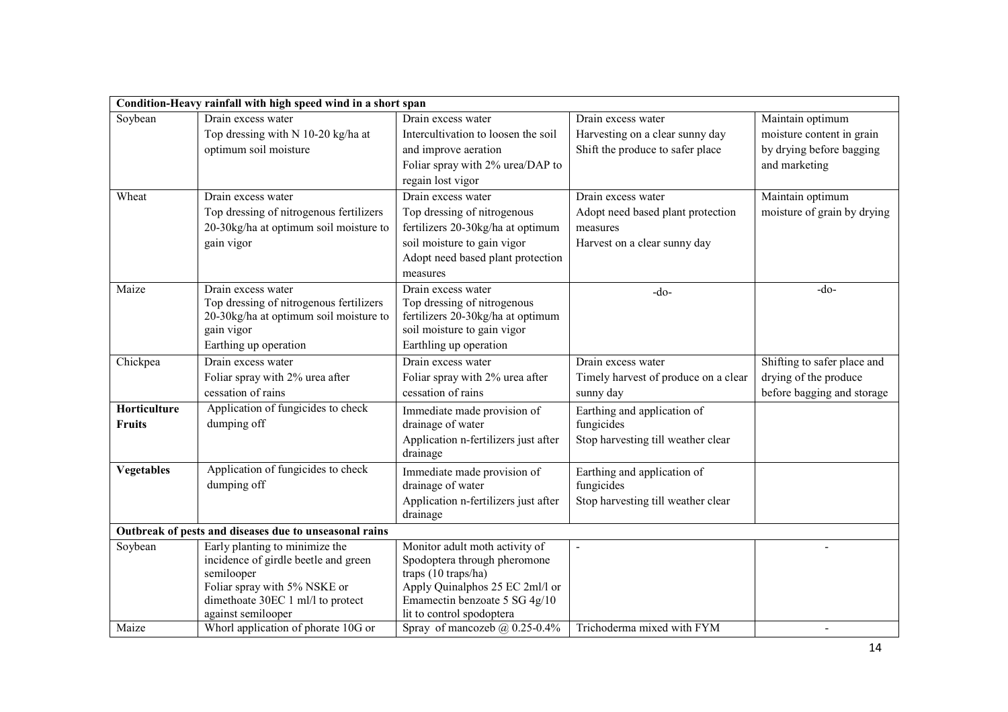|                               | Condition-Heavy rainfall with high speed wind in a short span                                                                                                                   |                                                                                                                                                                                        |                                                                                                     |                                                                                    |
|-------------------------------|---------------------------------------------------------------------------------------------------------------------------------------------------------------------------------|----------------------------------------------------------------------------------------------------------------------------------------------------------------------------------------|-----------------------------------------------------------------------------------------------------|------------------------------------------------------------------------------------|
| Soybean                       | Drain excess water<br>Top dressing with N 10-20 kg/ha at                                                                                                                        | Drain excess water<br>Intercultivation to loosen the soil                                                                                                                              | Drain excess water<br>Harvesting on a clear sunny day                                               | Maintain optimum<br>moisture content in grain                                      |
|                               | optimum soil moisture                                                                                                                                                           | and improve aeration<br>Foliar spray with 2% urea/DAP to<br>regain lost vigor                                                                                                          | Shift the produce to safer place                                                                    | by drying before bagging<br>and marketing                                          |
| Wheat                         | Drain excess water<br>Top dressing of nitrogenous fertilizers<br>20-30kg/ha at optimum soil moisture to<br>gain vigor                                                           | Drain excess water<br>Top dressing of nitrogenous<br>fertilizers 20-30kg/ha at optimum<br>soil moisture to gain vigor<br>Adopt need based plant protection<br>measures                 | Drain excess water<br>Adopt need based plant protection<br>measures<br>Harvest on a clear sunny day | Maintain optimum<br>moisture of grain by drying                                    |
| Maize                         | Drain excess water<br>Top dressing of nitrogenous fertilizers<br>20-30kg/ha at optimum soil moisture to<br>gain vigor<br>Earthing up operation                                  | Drain excess water<br>Top dressing of nitrogenous<br>fertilizers 20-30kg/ha at optimum<br>soil moisture to gain vigor<br>Earthling up operation                                        | $-do-$                                                                                              | $-do-$                                                                             |
| Chickpea                      | Drain excess water<br>Foliar spray with 2% urea after<br>cessation of rains                                                                                                     | Drain excess water<br>Foliar spray with 2% urea after<br>cessation of rains                                                                                                            | Drain excess water<br>Timely harvest of produce on a clear<br>sunny day                             | Shifting to safer place and<br>drying of the produce<br>before bagging and storage |
| Horticulture<br><b>Fruits</b> | Application of fungicides to check<br>dumping off                                                                                                                               | Immediate made provision of<br>drainage of water<br>Application n-fertilizers just after<br>drainage                                                                                   | Earthing and application of<br>fungicides<br>Stop harvesting till weather clear                     |                                                                                    |
| <b>Vegetables</b>             | Application of fungicides to check<br>dumping off                                                                                                                               | Immediate made provision of<br>drainage of water<br>Application n-fertilizers just after<br>drainage                                                                                   | Earthing and application of<br>fungicides<br>Stop harvesting till weather clear                     |                                                                                    |
|                               | Outbreak of pests and diseases due to unseasonal rains                                                                                                                          |                                                                                                                                                                                        |                                                                                                     |                                                                                    |
| Soybean                       | Early planting to minimize the<br>incidence of girdle beetle and green<br>semilooper<br>Foliar spray with 5% NSKE or<br>dimethoate 30EC 1 ml/l to protect<br>against semilooper | Monitor adult moth activity of<br>Spodoptera through pheromone<br>traps (10 traps/ha)<br>Apply Quinalphos 25 EC 2ml/l or<br>Emamectin benzoate 5 SG 4g/10<br>lit to control spodoptera |                                                                                                     |                                                                                    |
| Maize                         | Whorl application of phorate 10G or                                                                                                                                             | Spray of mancozeb $(a)$ , 0.25-0.4%                                                                                                                                                    | Trichoderma mixed with FYM                                                                          |                                                                                    |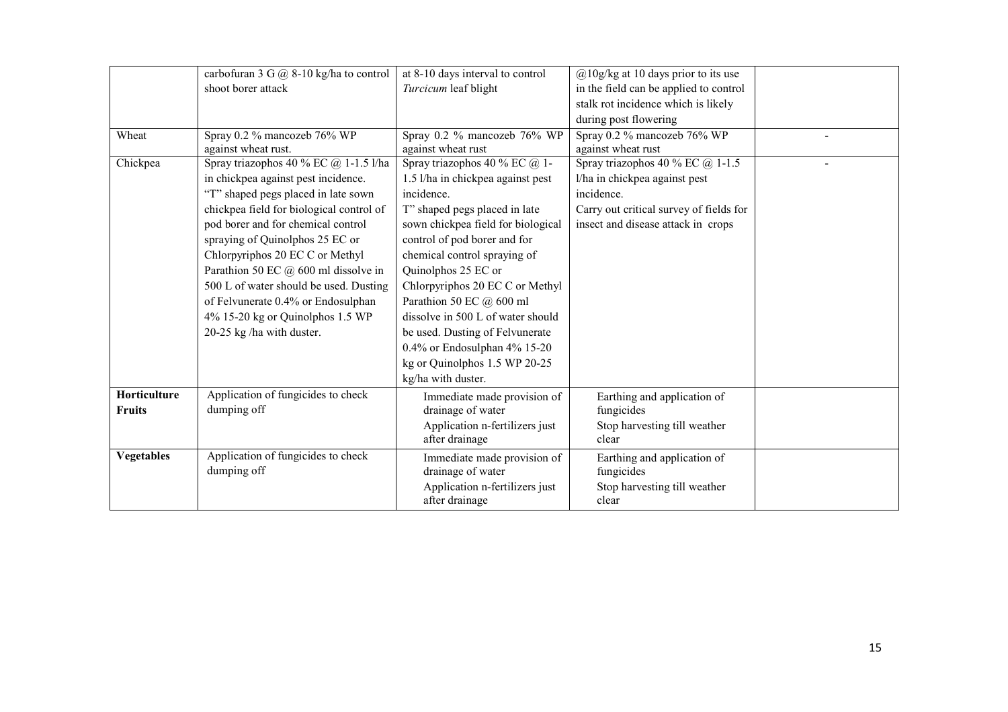|                   | carbofuran 3 G @ 8-10 kg/ha to control   | at 8-10 days interval to control   | $@10g/kg$ at 10 days prior to its use   |  |
|-------------------|------------------------------------------|------------------------------------|-----------------------------------------|--|
|                   | shoot borer attack                       | Turcicum leaf blight               | in the field can be applied to control  |  |
|                   |                                          |                                    | stalk rot incidence which is likely     |  |
|                   |                                          |                                    | during post flowering                   |  |
| Wheat             | Spray 0.2 % mancozeb 76% WP              | Spray 0.2 % mancozeb 76% WP        | Spray 0.2 % mancozeb 76% WP             |  |
|                   | against wheat rust.                      | against wheat rust                 | against wheat rust                      |  |
| Chickpea          | Spray triazophos 40 % EC $@$ 1-1.5 l/ha  | Spray triazophos 40 % EC @ 1-      | Spray triazophos 40 % EC $@$ 1-1.5      |  |
|                   | in chickpea against pest incidence.      | 1.5 l/ha in chickpea against pest  | l/ha in chickpea against pest           |  |
|                   | "T" shaped pegs placed in late sown      | incidence.                         | incidence.                              |  |
|                   | chickpea field for biological control of | T" shaped pegs placed in late      | Carry out critical survey of fields for |  |
|                   | pod borer and for chemical control       | sown chickpea field for biological | insect and disease attack in crops      |  |
|                   | spraying of Quinolphos 25 EC or          | control of pod borer and for       |                                         |  |
|                   | Chlorpyriphos 20 EC C or Methyl          | chemical control spraying of       |                                         |  |
|                   | Parathion 50 EC @ 600 ml dissolve in     | Quinolphos 25 EC or                |                                         |  |
|                   | 500 L of water should be used. Dusting   | Chlorpyriphos 20 EC C or Methyl    |                                         |  |
|                   | of Felvunerate 0.4% or Endosulphan       | Parathion 50 EC @ 600 ml           |                                         |  |
|                   | 4% 15-20 kg or Quinolphos 1.5 WP         | dissolve in 500 L of water should  |                                         |  |
|                   | 20-25 kg /ha with duster.                | be used. Dusting of Felvunerate    |                                         |  |
|                   |                                          | $0.4\%$ or Endosulphan $4\%$ 15-20 |                                         |  |
|                   |                                          | kg or Quinolphos 1.5 WP 20-25      |                                         |  |
|                   |                                          | kg/ha with duster.                 |                                         |  |
| Horticulture      | Application of fungicides to check       | Immediate made provision of        | Earthing and application of             |  |
| <b>Fruits</b>     | dumping off                              | drainage of water                  | fungicides                              |  |
|                   |                                          | Application n-fertilizers just     | Stop harvesting till weather            |  |
|                   |                                          | after drainage                     | clear                                   |  |
| <b>Vegetables</b> | Application of fungicides to check       | Immediate made provision of        | Earthing and application of             |  |
|                   | dumping off                              | drainage of water                  | fungicides                              |  |
|                   |                                          | Application n-fertilizers just     | Stop harvesting till weather            |  |
|                   |                                          | after drainage                     | clear                                   |  |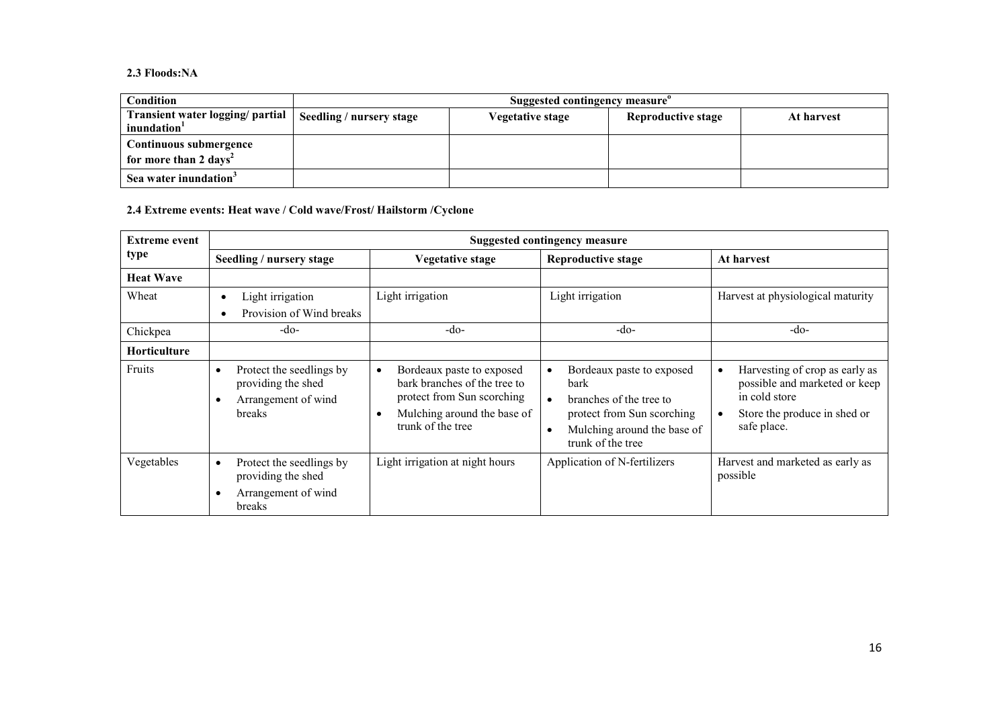### 2.3 Floods:NA

| <b>Condition</b>                                            | Suggested contingency measure |                  |                    |            |
|-------------------------------------------------------------|-------------------------------|------------------|--------------------|------------|
| Transient water logging/ partial<br>inundation <sup>1</sup> | Seedling / nursery stage      | Vegetative stage | Reproductive stage | At harvest |
| Continuous submergence<br>for more than 2 days <sup>2</sup> |                               |                  |                    |            |
| Sea water inundation <sup>3</sup>                           |                               |                  |                    |            |

2.4 Extreme events: Heat wave / Cold wave/Frost/ Hailstorm /Cyclone

| <b>Extreme event</b> | <b>Suggested contingency measure</b>                                                                      |                                                                                                                                                          |                                                                                                                                                                                 |                                                                                                                                                           |  |
|----------------------|-----------------------------------------------------------------------------------------------------------|----------------------------------------------------------------------------------------------------------------------------------------------------------|---------------------------------------------------------------------------------------------------------------------------------------------------------------------------------|-----------------------------------------------------------------------------------------------------------------------------------------------------------|--|
| type                 | Seedling / nursery stage                                                                                  | Vegetative stage                                                                                                                                         | <b>Reproductive stage</b>                                                                                                                                                       | At harvest                                                                                                                                                |  |
| <b>Heat Wave</b>     |                                                                                                           |                                                                                                                                                          |                                                                                                                                                                                 |                                                                                                                                                           |  |
| Wheat                | Light irrigation<br>Provision of Wind breaks                                                              | Light irrigation                                                                                                                                         | Light irrigation                                                                                                                                                                | Harvest at physiological maturity                                                                                                                         |  |
| Chickpea             | -do-                                                                                                      | $-do-$                                                                                                                                                   | $-do-$                                                                                                                                                                          | $-do-$                                                                                                                                                    |  |
| <b>Horticulture</b>  |                                                                                                           |                                                                                                                                                          |                                                                                                                                                                                 |                                                                                                                                                           |  |
| Fruits               | Protect the seedlings by<br>$\bullet$<br>providing the shed<br>Arrangement of wind<br>$\bullet$<br>breaks | Bordeaux paste to exposed<br>$\bullet$<br>bark branches of the tree to<br>protect from Sun scorching<br>Mulching around the base of<br>trunk of the tree | Bordeaux paste to exposed<br>$\bullet$<br><b>bark</b><br>branches of the tree to<br>protect from Sun scorching<br>Mulching around the base of<br>$\bullet$<br>trunk of the tree | Harvesting of crop as early as<br>$\bullet$<br>possible and marketed or keep<br>in cold store<br>Store the produce in shed or<br>$\bullet$<br>safe place. |  |
| Vegetables           | Protect the seedlings by<br>$\bullet$<br>providing the shed<br>Arrangement of wind<br>$\bullet$<br>breaks | Light irrigation at night hours                                                                                                                          | Application of N-fertilizers                                                                                                                                                    | Harvest and marketed as early as<br>possible                                                                                                              |  |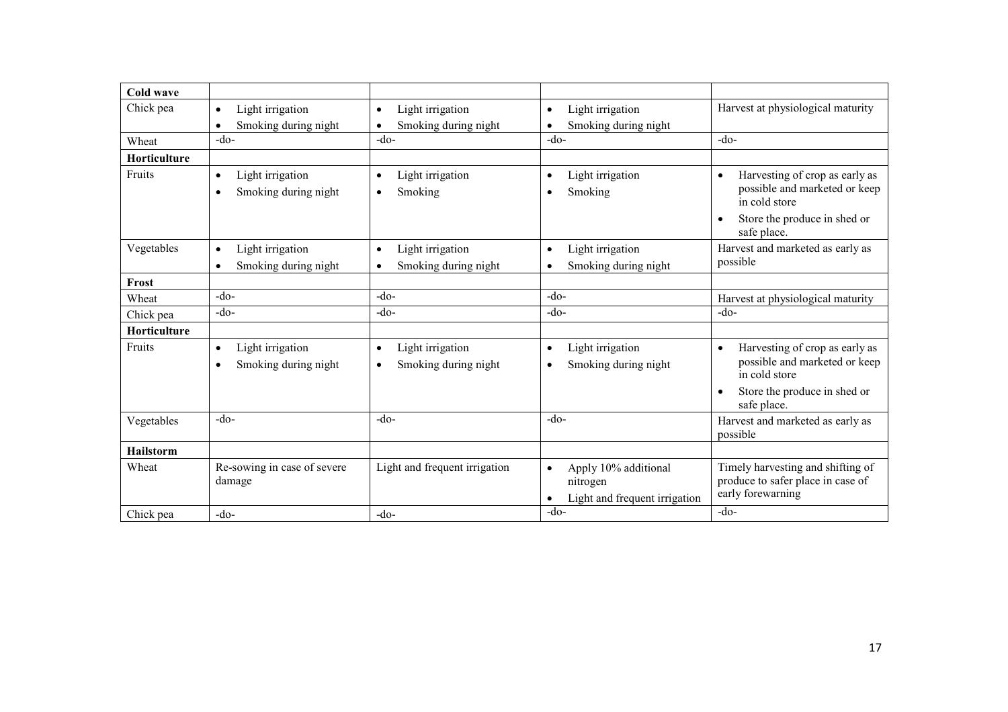| <b>Cold wave</b> |                                                                    |                                                                    |                                                                                |                                                                                                                                                           |
|------------------|--------------------------------------------------------------------|--------------------------------------------------------------------|--------------------------------------------------------------------------------|-----------------------------------------------------------------------------------------------------------------------------------------------------------|
| Chick pea        | Light irrigation<br>$\bullet$<br>Smoking during night<br>$\bullet$ | Light irrigation<br>$\bullet$<br>Smoking during night<br>$\bullet$ | Light irrigation<br>$\bullet$<br>Smoking during night<br>$\bullet$             | Harvest at physiological maturity                                                                                                                         |
| Wheat            | $-do-$                                                             | $-do-$                                                             | $-do-$                                                                         | $-do-$                                                                                                                                                    |
| Horticulture     |                                                                    |                                                                    |                                                                                |                                                                                                                                                           |
| Fruits           | Light irrigation<br>$\bullet$<br>Smoking during night<br>$\bullet$ | Light irrigation<br>$\bullet$<br>Smoking<br>$\bullet$              | Light irrigation<br>$\bullet$<br>Smoking<br>$\bullet$                          | Harvesting of crop as early as<br>$\bullet$<br>possible and marketed or keep<br>in cold store<br>Store the produce in shed or<br>$\bullet$                |
|                  |                                                                    |                                                                    |                                                                                | safe place.                                                                                                                                               |
| Vegetables       | Light irrigation<br>$\bullet$<br>Smoking during night<br>$\bullet$ | Light irrigation<br>$\bullet$<br>Smoking during night<br>$\bullet$ | Light irrigation<br>$\bullet$<br>Smoking during night<br>$\bullet$             | Harvest and marketed as early as<br>possible                                                                                                              |
| Frost            |                                                                    |                                                                    |                                                                                |                                                                                                                                                           |
| Wheat            | $-do-$                                                             | $-do-$                                                             | $-do-$                                                                         | Harvest at physiological maturity                                                                                                                         |
| Chick pea        | $-do-$                                                             | $-do-$                                                             | $-do-$                                                                         | $-do-$                                                                                                                                                    |
| Horticulture     |                                                                    |                                                                    |                                                                                |                                                                                                                                                           |
| Fruits           | Light irrigation<br>$\bullet$<br>Smoking during night<br>$\bullet$ | Light irrigation<br>$\bullet$<br>Smoking during night<br>$\bullet$ | Light irrigation<br>$\bullet$<br>Smoking during night<br>$\bullet$             | Harvesting of crop as early as<br>$\bullet$<br>possible and marketed or keep<br>in cold store<br>Store the produce in shed or<br>$\bullet$<br>safe place. |
| Vegetables       | $-do-$                                                             | $-do-$                                                             | $-do-$                                                                         | Harvest and marketed as early as<br>possible                                                                                                              |
| <b>Hailstorm</b> |                                                                    |                                                                    |                                                                                |                                                                                                                                                           |
| Wheat            | Re-sowing in case of severe<br>damage                              | Light and frequent irrigation                                      | Apply 10% additional<br>$\bullet$<br>nitrogen<br>Light and frequent irrigation | Timely harvesting and shifting of<br>produce to safer place in case of<br>early forewarning                                                               |
| Chick pea        | $-do-$                                                             | $-do-$                                                             | -do-                                                                           | $-do-$                                                                                                                                                    |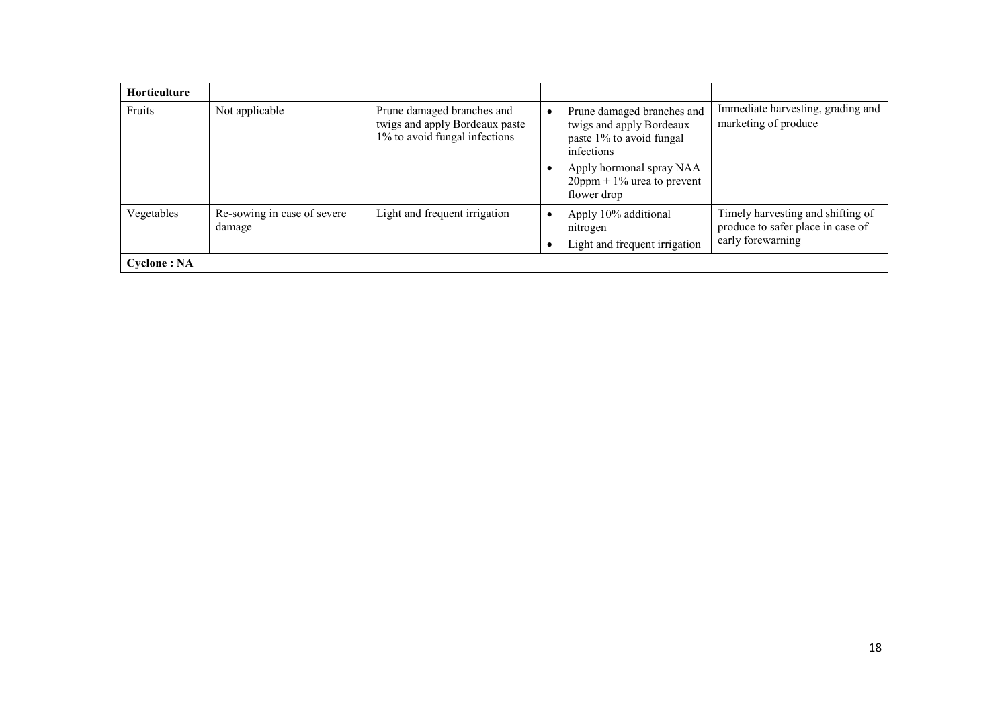| <b>Horticulture</b> |                                       |                                                                                               |                                                                                                                                                                                                                                           |
|---------------------|---------------------------------------|-----------------------------------------------------------------------------------------------|-------------------------------------------------------------------------------------------------------------------------------------------------------------------------------------------------------------------------------------------|
| Fruits              | Not applicable                        | Prune damaged branches and<br>twigs and apply Bordeaux paste<br>1% to avoid fungal infections | Immediate harvesting, grading and<br>Prune damaged branches and<br>marketing of produce<br>twigs and apply Bordeaux<br>paste 1% to avoid fungal<br>infections<br>Apply hormonal spray NAA<br>$20$ ppm + 1% urea to prevent<br>flower drop |
| Vegetables          | Re-sowing in case of severe<br>damage | Light and frequent irrigation                                                                 | Timely harvesting and shifting of<br>Apply 10% additional<br>produce to safer place in case of<br>nitrogen<br>early forewarning<br>Light and frequent irrigation                                                                          |
| <b>Cyclone</b> : NA |                                       |                                                                                               |                                                                                                                                                                                                                                           |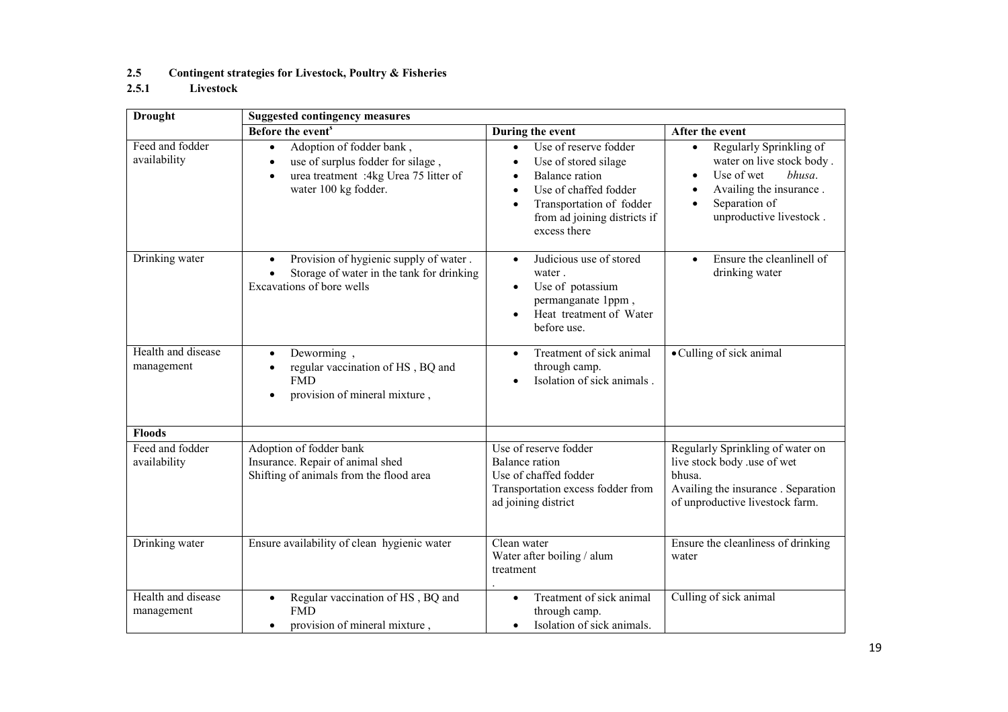# 2.5 Contingent strategies for Livestock, Poultry & Fisheries<br>2.5.1 Livestock

# Livestock

| <b>Drought</b>                   | <b>Suggested contingency measures</b>                                                                                                                                 |                                                                                                                                                                                                                                       |                                                                                                                                                                                            |  |  |
|----------------------------------|-----------------------------------------------------------------------------------------------------------------------------------------------------------------------|---------------------------------------------------------------------------------------------------------------------------------------------------------------------------------------------------------------------------------------|--------------------------------------------------------------------------------------------------------------------------------------------------------------------------------------------|--|--|
|                                  | Before the event <sup>s</sup>                                                                                                                                         | During the event                                                                                                                                                                                                                      | After the event                                                                                                                                                                            |  |  |
| Feed and fodder<br>availability  | Adoption of fodder bank,<br>$\bullet$<br>use of surplus fodder for silage,<br>$\bullet$<br>urea treatment :4kg Urea 75 litter of<br>$\bullet$<br>water 100 kg fodder. | Use of reserve fodder<br>$\bullet$<br>Use of stored silage<br>$\bullet$<br>Balance ration<br>$\bullet$<br>Use of chaffed fodder<br>$\bullet$<br>Transportation of fodder<br>$\bullet$<br>from ad joining districts if<br>excess there | Regularly Sprinkling of<br>$\bullet$<br>water on live stock body.<br>Use of wet<br>bhusa.<br>Availing the insurance.<br>$\bullet$<br>Separation of<br>$\bullet$<br>unproductive livestock. |  |  |
| Drinking water                   | Provision of hygienic supply of water.<br>$\bullet$<br>Storage of water in the tank for drinking<br>$\bullet$<br>Excavations of bore wells                            | Judicious use of stored<br>$\bullet$<br>water.<br>Use of potassium<br>$\bullet$<br>permanganate 1ppm,<br>Heat treatment of Water<br>$\bullet$<br>before use.                                                                          | Ensure the cleanlinell of<br>$\bullet$<br>drinking water                                                                                                                                   |  |  |
| Health and disease<br>management | Deworming,<br>$\bullet$<br>regular vaccination of HS, BQ and<br><b>FMD</b><br>provision of mineral mixture,<br>٠                                                      | Treatment of sick animal<br>$\bullet$<br>through camp.<br>Isolation of sick animals.<br>$\bullet$                                                                                                                                     | • Culling of sick animal                                                                                                                                                                   |  |  |
| <b>Floods</b>                    |                                                                                                                                                                       |                                                                                                                                                                                                                                       |                                                                                                                                                                                            |  |  |
| Feed and fodder<br>availability  | Adoption of fodder bank<br>Insurance. Repair of animal shed<br>Shifting of animals from the flood area                                                                | Use of reserve fodder<br><b>Balance</b> ration<br>Use of chaffed fodder<br>Transportation excess fodder from<br>ad joining district                                                                                                   | Regularly Sprinkling of water on<br>live stock body .use of wet<br>bhusa.<br>Availing the insurance . Separation<br>of unproductive livestock farm.                                        |  |  |
| Drinking water                   | Ensure availability of clean hygienic water                                                                                                                           | Clean water<br>Water after boiling / alum<br>treatment                                                                                                                                                                                | Ensure the cleanliness of drinking<br>water                                                                                                                                                |  |  |
| Health and disease<br>management | Regular vaccination of HS, BQ and<br>$\bullet$<br><b>FMD</b><br>provision of mineral mixture,<br>$\bullet$                                                            | Treatment of sick animal<br>$\bullet$<br>through camp.<br>Isolation of sick animals.<br>$\bullet$                                                                                                                                     | Culling of sick animal                                                                                                                                                                     |  |  |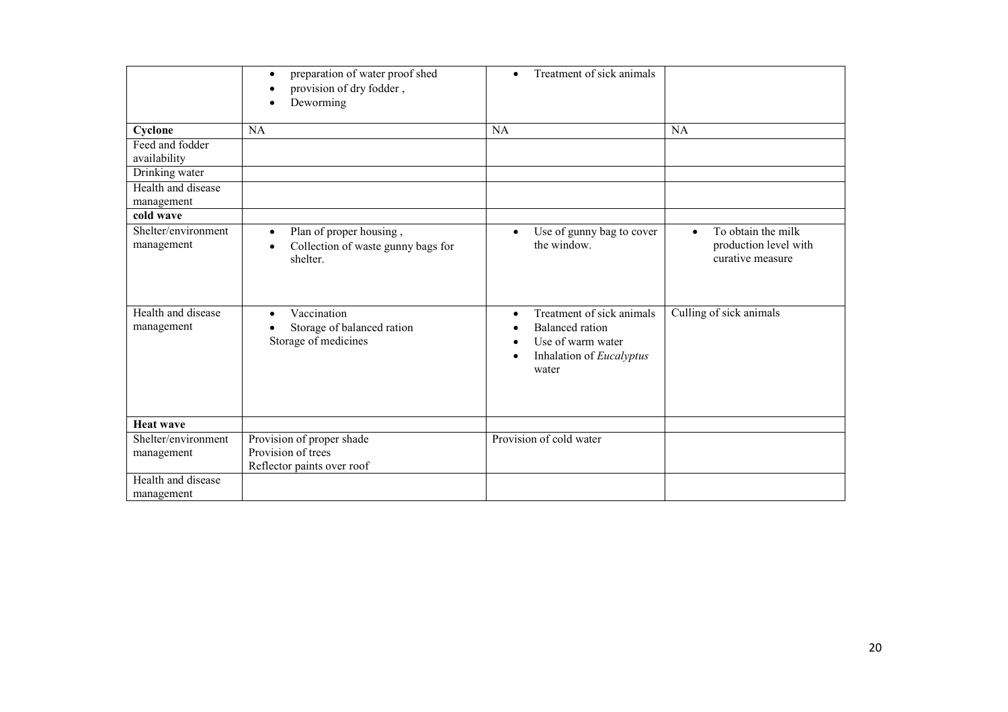|                                   | preparation of water proof shed<br>$\bullet$<br>provision of dry fodder,<br>Deworming<br>$\bullet$ | Treatment of sick animals<br>$\bullet$                                                                                                                            |                                                                              |
|-----------------------------------|----------------------------------------------------------------------------------------------------|-------------------------------------------------------------------------------------------------------------------------------------------------------------------|------------------------------------------------------------------------------|
| Cyclone                           | NA                                                                                                 | NA                                                                                                                                                                | <b>NA</b>                                                                    |
| Feed and fodder<br>availability   |                                                                                                    |                                                                                                                                                                   |                                                                              |
| Drinking water                    |                                                                                                    |                                                                                                                                                                   |                                                                              |
| Health and disease<br>management  |                                                                                                    |                                                                                                                                                                   |                                                                              |
| cold wave                         |                                                                                                    |                                                                                                                                                                   |                                                                              |
| Shelter/environment<br>management | Plan of proper housing,<br>$\bullet$<br>Collection of waste gunny bags for<br>shelter.             | Use of gunny bag to cover<br>$\bullet$<br>the window.                                                                                                             | To obtain the milk<br>$\bullet$<br>production level with<br>curative measure |
| Health and disease<br>management  | Vaccination<br>$\bullet$<br>Storage of balanced ration<br>Storage of medicines                     | Treatment of sick animals<br>$\bullet$<br><b>Balanced</b> ration<br>$\bullet$<br>Use of warm water<br>$\bullet$<br>Inhalation of Eucalyptus<br>$\bullet$<br>water | Culling of sick animals                                                      |
| <b>Heat wave</b>                  |                                                                                                    |                                                                                                                                                                   |                                                                              |
| Shelter/environment<br>management | Provision of proper shade<br>Provision of trees<br>Reflector paints over roof                      | Provision of cold water                                                                                                                                           |                                                                              |
| Health and disease<br>management  |                                                                                                    |                                                                                                                                                                   |                                                                              |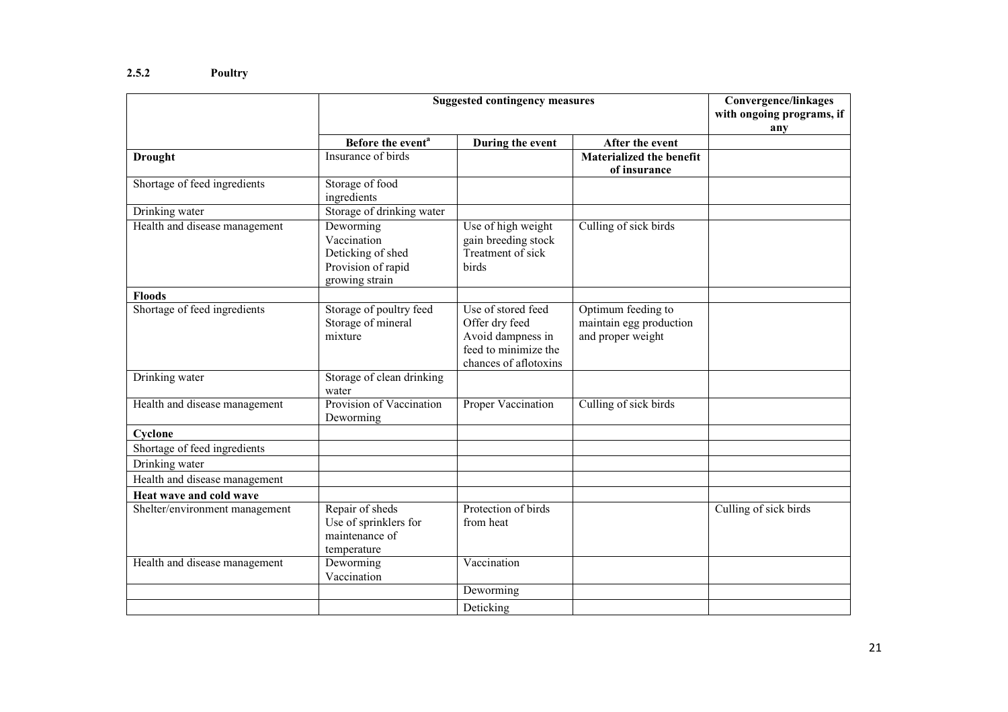|                                | <b>Suggested contingency measures</b>                                                 | <b>Convergence/linkages</b>                                                                                |                                                                    |                           |
|--------------------------------|---------------------------------------------------------------------------------------|------------------------------------------------------------------------------------------------------------|--------------------------------------------------------------------|---------------------------|
|                                |                                                                                       |                                                                                                            |                                                                    | with ongoing programs, if |
|                                |                                                                                       |                                                                                                            |                                                                    | any                       |
|                                | Before the event <sup>a</sup>                                                         | During the event                                                                                           | After the event                                                    |                           |
| <b>Drought</b>                 | Insurance of birds                                                                    |                                                                                                            | <b>Materialized the benefit</b><br>of insurance                    |                           |
| Shortage of feed ingredients   | Storage of food<br>ingredients                                                        |                                                                                                            |                                                                    |                           |
| Drinking water                 | Storage of drinking water                                                             |                                                                                                            |                                                                    |                           |
| Health and disease management  | Deworming<br>Vaccination<br>Deticking of shed<br>Provision of rapid<br>growing strain | Use of high weight<br>gain breeding stock<br>Treatment of sick<br>birds                                    | Culling of sick birds                                              |                           |
| <b>Floods</b>                  |                                                                                       |                                                                                                            |                                                                    |                           |
| Shortage of feed ingredients   | Storage of poultry feed<br>Storage of mineral<br>mixture                              | Use of stored feed<br>Offer dry feed<br>Avoid dampness in<br>feed to minimize the<br>chances of aflotoxins | Optimum feeding to<br>maintain egg production<br>and proper weight |                           |
| Drinking water                 | Storage of clean drinking<br>water                                                    |                                                                                                            |                                                                    |                           |
| Health and disease management  | Provision of Vaccination<br>Deworming                                                 | Proper Vaccination                                                                                         | Culling of sick birds                                              |                           |
| Cyclone                        |                                                                                       |                                                                                                            |                                                                    |                           |
| Shortage of feed ingredients   |                                                                                       |                                                                                                            |                                                                    |                           |
| Drinking water                 |                                                                                       |                                                                                                            |                                                                    |                           |
| Health and disease management  |                                                                                       |                                                                                                            |                                                                    |                           |
| Heat wave and cold wave        |                                                                                       |                                                                                                            |                                                                    |                           |
| Shelter/environment management | Repair of sheds<br>Use of sprinklers for<br>maintenance of<br>temperature             | Protection of birds<br>from heat                                                                           |                                                                    | Culling of sick birds     |
| Health and disease management  | Deworming<br>Vaccination                                                              | Vaccination                                                                                                |                                                                    |                           |
|                                |                                                                                       | Deworming                                                                                                  |                                                                    |                           |
|                                |                                                                                       | Deticking                                                                                                  |                                                                    |                           |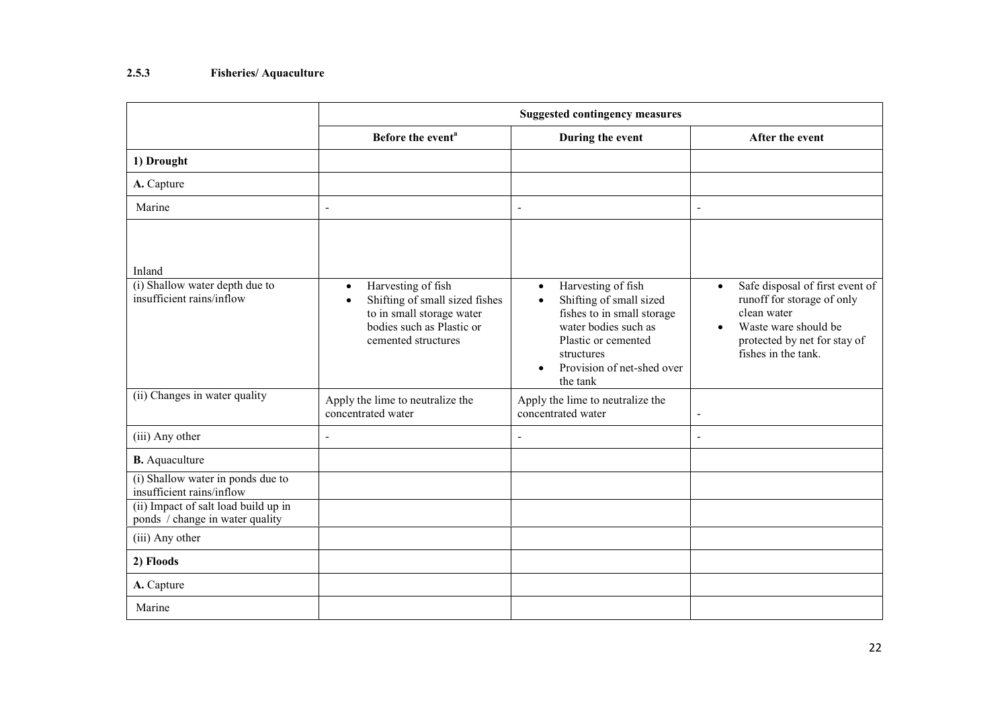# 2.5.3 Fisheries/ Aquaculture

|                                                                                                        | <b>Suggested contingency measures</b>                                                                                                                           |                                                                                                                                                                                                                           |                                                                                                                                                                          |  |
|--------------------------------------------------------------------------------------------------------|-----------------------------------------------------------------------------------------------------------------------------------------------------------------|---------------------------------------------------------------------------------------------------------------------------------------------------------------------------------------------------------------------------|--------------------------------------------------------------------------------------------------------------------------------------------------------------------------|--|
|                                                                                                        | Before the event <sup>a</sup>                                                                                                                                   | During the event                                                                                                                                                                                                          | After the event                                                                                                                                                          |  |
| 1) Drought                                                                                             |                                                                                                                                                                 |                                                                                                                                                                                                                           |                                                                                                                                                                          |  |
| A. Capture                                                                                             |                                                                                                                                                                 |                                                                                                                                                                                                                           |                                                                                                                                                                          |  |
| Marine                                                                                                 | $\blacksquare$                                                                                                                                                  | $\blacksquare$                                                                                                                                                                                                            | $\blacksquare$                                                                                                                                                           |  |
| Inland                                                                                                 |                                                                                                                                                                 |                                                                                                                                                                                                                           |                                                                                                                                                                          |  |
| (i) Shallow water depth due to<br>insufficient rains/inflow                                            | Harvesting of fish<br>$\bullet$<br>Shifting of small sized fishes<br>$\bullet$<br>to in small storage water<br>bodies such as Plastic or<br>cemented structures | Harvesting of fish<br>$\bullet$<br>Shifting of small sized<br>$\bullet$<br>fishes to in small storage<br>water bodies such as<br>Plastic or cemented<br>structures<br>Provision of net-shed over<br>$\bullet$<br>the tank | Safe disposal of first event of<br>$\bullet$<br>runoff for storage of only<br>clean water<br>Waste ware should be<br>protected by net for stay of<br>fishes in the tank. |  |
| (ii) Changes in water quality                                                                          | Apply the lime to neutralize the<br>concentrated water                                                                                                          | Apply the lime to neutralize the<br>concentrated water                                                                                                                                                                    | $\blacksquare$                                                                                                                                                           |  |
| (iii) Any other                                                                                        | $\mathbf{r}$                                                                                                                                                    | $\blacksquare$                                                                                                                                                                                                            | $\blacksquare$                                                                                                                                                           |  |
| <b>B.</b> Aquaculture                                                                                  |                                                                                                                                                                 |                                                                                                                                                                                                                           |                                                                                                                                                                          |  |
| (i) Shallow water in ponds due to<br>insufficient rains/inflow<br>(ii) Impact of salt load build up in |                                                                                                                                                                 |                                                                                                                                                                                                                           |                                                                                                                                                                          |  |
| ponds / change in water quality                                                                        |                                                                                                                                                                 |                                                                                                                                                                                                                           |                                                                                                                                                                          |  |
| (iii) Any other                                                                                        |                                                                                                                                                                 |                                                                                                                                                                                                                           |                                                                                                                                                                          |  |
| 2) Floods                                                                                              |                                                                                                                                                                 |                                                                                                                                                                                                                           |                                                                                                                                                                          |  |
| A. Capture                                                                                             |                                                                                                                                                                 |                                                                                                                                                                                                                           |                                                                                                                                                                          |  |
| Marine                                                                                                 |                                                                                                                                                                 |                                                                                                                                                                                                                           |                                                                                                                                                                          |  |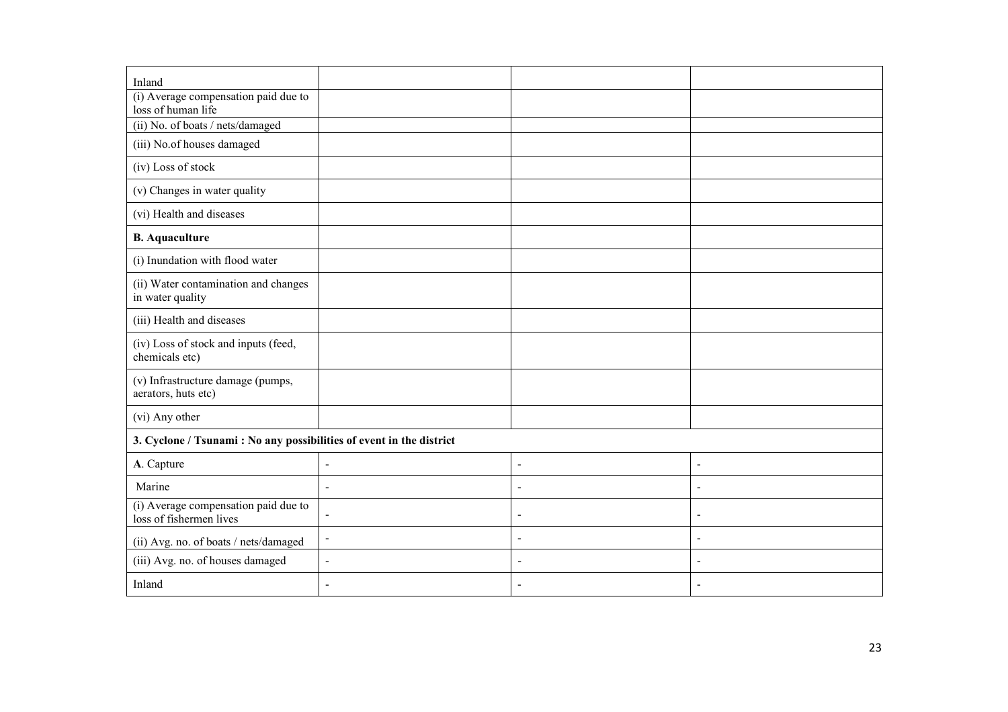| Inland                                                                            |                          |                          |  |  |
|-----------------------------------------------------------------------------------|--------------------------|--------------------------|--|--|
| (i) Average compensation paid due to<br>loss of human life                        |                          |                          |  |  |
| (ii) No. of boats / nets/damaged                                                  |                          |                          |  |  |
| (iii) No.of houses damaged                                                        |                          |                          |  |  |
| (iv) Loss of stock                                                                |                          |                          |  |  |
| (v) Changes in water quality                                                      |                          |                          |  |  |
| (vi) Health and diseases                                                          |                          |                          |  |  |
| <b>B.</b> Aquaculture                                                             |                          |                          |  |  |
| (i) Inundation with flood water                                                   |                          |                          |  |  |
| (ii) Water contamination and changes<br>in water quality                          |                          |                          |  |  |
| (iii) Health and diseases                                                         |                          |                          |  |  |
| (iv) Loss of stock and inputs (feed,<br>chemicals etc)                            |                          |                          |  |  |
| (v) Infrastructure damage (pumps,<br>aerators, huts etc)                          |                          |                          |  |  |
| (vi) Any other                                                                    |                          |                          |  |  |
| 3. Cyclone / Tsunami: No any possibilities of event in the district               |                          |                          |  |  |
| A. Capture<br>$\blacksquare$                                                      | $\blacksquare$           | $\overline{\phantom{a}}$ |  |  |
| Marine<br>$\blacksquare$                                                          | $\blacksquare$           | $\blacksquare$           |  |  |
| (i) Average compensation paid due to<br>$\blacksquare$<br>loss of fishermen lives | $\blacksquare$           | $\overline{\phantom{a}}$ |  |  |
| $\blacksquare$<br>(ii) Avg. no. of boats / nets/damaged                           | $\blacksquare$           | $\blacksquare$           |  |  |
| (iii) Avg. no. of houses damaged<br>$\blacksquare$                                | $\overline{\phantom{a}}$ | $\blacksquare$           |  |  |
| Inland<br>$\blacksquare$                                                          | $\blacksquare$           |                          |  |  |